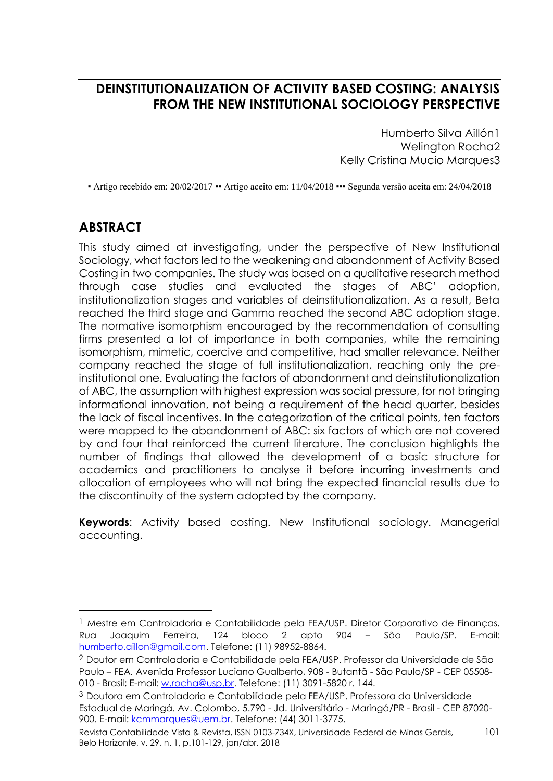## **DEINSTITUTIONALIZATION OF ACTIVITY BASED COSTING: ANALYSIS FROM THE NEW INSTITUTIONAL SOCIOLOGY PERSPECTIVE**

Humberto Silva Aillón1 Welington Rocha2 Kelly Cristina Mucio Marques3

▪ Artigo recebido em: 20/02/2017 ▪▪ Artigo aceito em: 11/04/2018 ▪▪▪ Segunda versão aceita em: 24/04/2018

# **ABSTRACT**

1

This study aimed at investigating, under the perspective of New Institutional Sociology, what factors led to the weakening and abandonment of Activity Based Costing in two companies. The study was based on a qualitative research method through case studies and evaluated the stages of ABC' adoption, institutionalization stages and variables of deinstitutionalization. As a result, Beta reached the third stage and Gamma reached the second ABC adoption stage. The normative isomorphism encouraged by the recommendation of consulting firms presented a lot of importance in both companies, while the remaining isomorphism, mimetic, coercive and competitive, had smaller relevance. Neither company reached the stage of full institutionalization, reaching only the preinstitutional one. Evaluating the factors of abandonment and deinstitutionalization of ABC, the assumption with highest expression was social pressure, for not bringing informational innovation, not being a requirement of the head quarter, besides the lack of fiscal incentives. In the categorization of the critical points, ten factors were mapped to the abandonment of ABC: six factors of which are not covered by and four that reinforced the current literature. The conclusion highlights the number of findings that allowed the development of a basic structure for academics and practitioners to analyse it before incurring investments and allocation of employees who will not bring the expected financial results due to the discontinuity of the system adopted by the company.

**Keywords**: Activity based costing. New Institutional sociology. Managerial accounting.

<sup>&</sup>lt;sup>1</sup> Mestre em Controladoria e Contabilidade pela FEA/USP. Diretor Corporativo de Finanças. Rua Joaquim Ferreira, 124 bloco 2 apto 904 – São Paulo/SP. E-mail: [humberto.aillon@gmail.com.](mailto:humberto.aillon@gmail.com) Telefone: (11) 98952-8864.

<sup>2</sup> Doutor em Controladoria e Contabilidade pela FEA/USP. Professor da Universidade de São Paulo – FEA. Avenida Professor Luciano Gualberto, 908 - Butantã - São Paulo/SP - CEP 05508 010 - Brasil; E-mail: [w.rocha@usp.br.](mailto:w.rocha@usp.br) Telefone: (11) 3091-5820 r. 144.

<sup>3</sup> Doutora em Controladoria e Contabilidade pela FEA/USP. Professora da Universidade Estadual de Maringá. Av. Colombo, 5.790 - Jd. Universitário - Maringá/PR - Brasil - CEP 87020 900. E-mail: [kcmmarques@uem.br.](mailto:kcmmarques@uem.br) Telefone: (44) 3011-3775.

Revista Contabilidade Vista & Revista, ISSN 0103-734X, Universidade Federal de Minas Gerais, 101 Belo Horizonte, v. 29, n. 1, p.101-129, jan/abr. 2018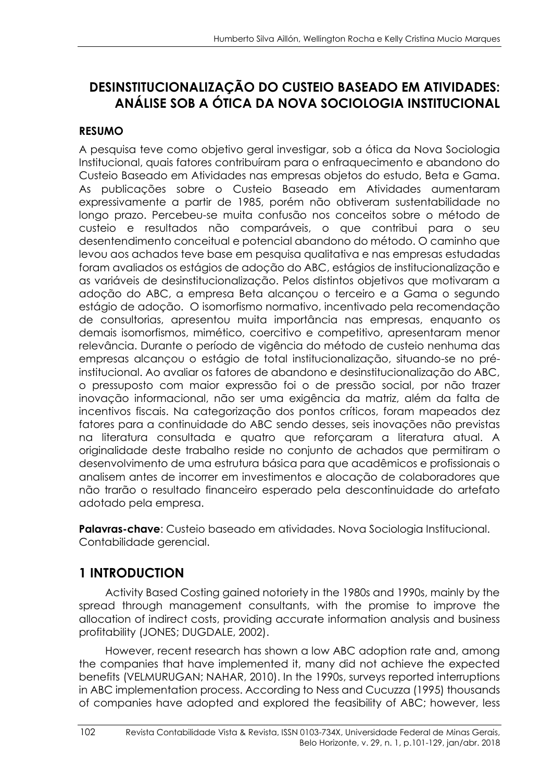# **DESINSTITUCIONALIZAÇÃO DO CUSTEIO BASEADO EM ATIVIDADES: ANÁLISE SOB A ÓTICA DA NOVA SOCIOLOGIA INSTITUCIONAL**

## **RESUMO**

A pesquisa teve como objetivo geral investigar, sob a ótica da Nova Sociologia Institucional, quais fatores contribuíram para o enfraquecimento e abandono do Custeio Baseado em Atividades nas empresas objetos do estudo, Beta e Gama. As publicações sobre o Custeio Baseado em Atividades aumentaram expressivamente a partir de 1985, porém não obtiveram sustentabilidade no longo prazo. Percebeu-se muita confusão nos conceitos sobre o método de custeio e resultados não comparáveis, o que contribui para o seu desentendimento conceitual e potencial abandono do método. O caminho que levou aos achados teve base em pesquisa qualitativa e nas empresas estudadas foram avaliados os estágios de adoção do ABC, estágios de institucionalização e as variáveis de desinstitucionalização. Pelos distintos objetivos que motivaram a adoção do ABC, a empresa Beta alcançou o terceiro e a Gama o segundo estágio de adoção. O isomorfismo normativo, incentivado pela recomendação de consultorias, apresentou muita importância nas empresas, enquanto os demais isomorfismos, mimético, coercitivo e competitivo, apresentaram menor relevância. Durante o período de vigência do método de custeio nenhuma das empresas alcançou o estágio de total institucionalização, situando-se no préinstitucional. Ao avaliar os fatores de abandono e desinstitucionalização do ABC, o pressuposto com maior expressão foi o de pressão social, por não trazer inovação informacional, não ser uma exigência da matriz, além da falta de incentivos fiscais. Na categorização dos pontos críticos, foram mapeados dez fatores para a continuidade do ABC sendo desses, seis inovações não previstas na literatura consultada e quatro que reforçaram a literatura atual. A originalidade deste trabalho reside no conjunto de achados que permitiram o desenvolvimento de uma estrutura básica para que acadêmicos e profissionais o analisem antes de incorrer em investimentos e alocação de colaboradores que não trarão o resultado financeiro esperado pela descontinuidade do artefato adotado pela empresa.

**Palavras-chave**: Custeio baseado em atividades. Nova Sociologia Institucional. Contabilidade gerencial.

# **1 INTRODUCTION**

Activity Based Costing gained notoriety in the 1980s and 1990s, mainly by the spread through management consultants, with the promise to improve the allocation of indirect costs, providing accurate information analysis and business profitability (JONES; DUGDALE, 2002).

However, recent research has shown a low ABC adoption rate and, among the companies that have implemented it, many did not achieve the expected benefits (VELMURUGAN; NAHAR, 2010). In the 1990s, surveys reported interruptions in ABC implementation process. According to Ness and Cucuzza (1995) thousands of companies have adopted and explored the feasibility of ABC; however, less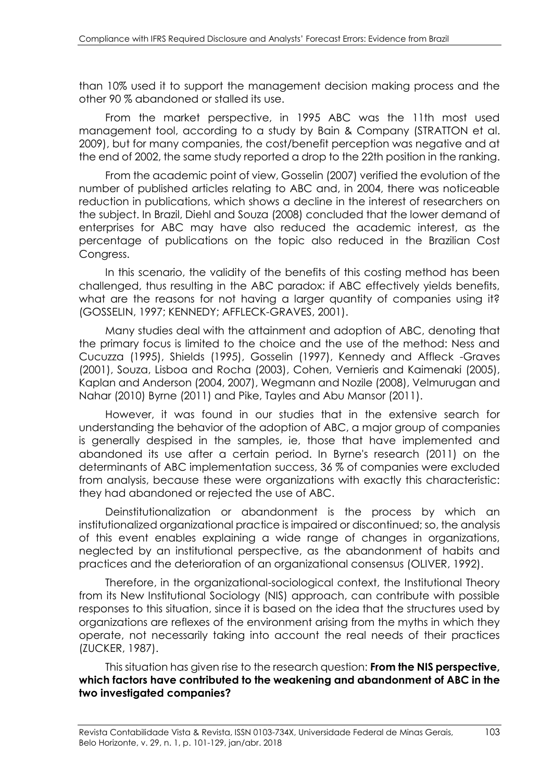than 10% used it to support the management decision making process and the other 90 % abandoned or stalled its use.

From the market perspective, in 1995 ABC was the 11th most used management tool, according to a study by Bain & Company (STRATTON et al. 2009), but for many companies, the cost/benefit perception was negative and at the end of 2002, the same study reported a drop to the 22th position in the ranking.

From the academic point of view, Gosselin (2007) verified the evolution of the number of published articles relating to ABC and, in 2004, there was noticeable reduction in publications, which shows a decline in the interest of researchers on the subject. In Brazil, Diehl and Souza (2008) concluded that the lower demand of enterprises for ABC may have also reduced the academic interest, as the percentage of publications on the topic also reduced in the Brazilian Cost Congress.

In this scenario, the validity of the benefits of this costing method has been challenged, thus resulting in the ABC paradox: if ABC effectively yields benefits, what are the reasons for not having a larger quantity of companies using it? (GOSSELIN, 1997; KENNEDY; AFFLECK-GRAVES, 2001).

Many studies deal with the attainment and adoption of ABC, denoting that the primary focus is limited to the choice and the use of the method: Ness and Cucuzza (1995), Shields (1995), Gosselin (1997), Kennedy and Affleck -Graves (2001), Souza, Lisboa and Rocha (2003), Cohen, Vernieris and Kaimenaki (2005), Kaplan and Anderson (2004, 2007), Wegmann and Nozile (2008), Velmurugan and Nahar (2010) Byrne (2011) and Pike, Tayles and Abu Mansor (2011).

However, it was found in our studies that in the extensive search for understanding the behavior of the adoption of ABC, a major group of companies is generally despised in the samples, ie, those that have implemented and abandoned its use after a certain period. In Byrne's research (2011) on the determinants of ABC implementation success, 36 % of companies were excluded from analysis, because these were organizations with exactly this characteristic: they had abandoned or rejected the use of ABC.

Deinstitutionalization or abandonment is the process by which an institutionalized organizational practice is impaired or discontinued; so, the analysis of this event enables explaining a wide range of changes in organizations, neglected by an institutional perspective, as the abandonment of habits and practices and the deterioration of an organizational consensus (OLIVER, 1992).

Therefore, in the organizational-sociological context, the Institutional Theory from its New Institutional Sociology (NIS) approach, can contribute with possible responses to this situation, since it is based on the idea that the structures used by organizations are reflexes of the environment arising from the myths in which they operate, not necessarily taking into account the real needs of their practices (ZUCKER, 1987).

This situation has given rise to the research question: **From the NIS perspective, which factors have contributed to the weakening and abandonment of ABC in the two investigated companies?**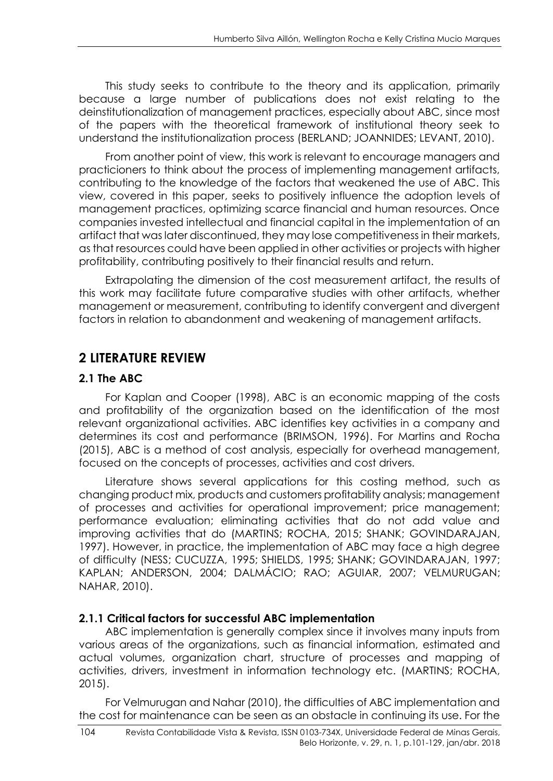This study seeks to contribute to the theory and its application, primarily because a large number of publications does not exist relating to the deinstitutionalization of management practices, especially about ABC, since most of the papers with the theoretical framework of institutional theory seek to understand the institutionalization process (BERLAND; JOANNIDES; LEVANT, 2010).

From another point of view, this work is relevant to encourage managers and practicioners to think about the process of implementing management artifacts, contributing to the knowledge of the factors that weakened the use of ABC. This view, covered in this paper, seeks to positively influence the adoption levels of management practices, optimizing scarce financial and human resources. Once companies invested intellectual and financial capital in the implementation of an artifact that was later discontinued, they may lose competitiveness in their markets, as that resources could have been applied in other activities or projects with higher profitability, contributing positively to their financial results and return.

Extrapolating the dimension of the cost measurement artifact, the results of this work may facilitate future comparative studies with other artifacts, whether management or measurement, contributing to identify convergent and divergent factors in relation to abandonment and weakening of management artifacts.

## **2 LITERATURE REVIEW**

### **2.1 The ABC**

For Kaplan and Cooper (1998), ABC is an economic mapping of the costs and profitability of the organization based on the identification of the most relevant organizational activities. ABC identifies key activities in a company and determines its cost and performance (BRIMSON, 1996). For Martins and Rocha (2015), ABC is a method of cost analysis, especially for overhead management, focused on the concepts of processes, activities and cost drivers.

Literature shows several applications for this costing method, such as changing product mix, products and customers profitability analysis; management of processes and activities for operational improvement; price management; performance evaluation; eliminating activities that do not add value and improving activities that do (MARTINS; ROCHA, 2015; SHANK; GOVINDARAJAN, 1997). However, in practice, the implementation of ABC may face a high degree of difficulty (NESS; CUCUZZA, 1995; SHIELDS, 1995; SHANK; GOVINDARAJAN, 1997; KAPLAN; ANDERSON, 2004; DALMÁCIO; RAO; AGUIAR, 2007; VELMURUGAN; NAHAR, 2010).

### **2.1.1 Critical factors for successful ABC implementation**

ABC implementation is generally complex since it involves many inputs from various areas of the organizations, such as financial information, estimated and actual volumes, organization chart, structure of processes and mapping of activities, drivers, investment in information technology etc. (MARTINS; ROCHA, 2015).

For Velmurugan and Nahar (2010), the difficulties of ABC implementation and the cost for maintenance can be seen as an obstacle in continuing its use. For the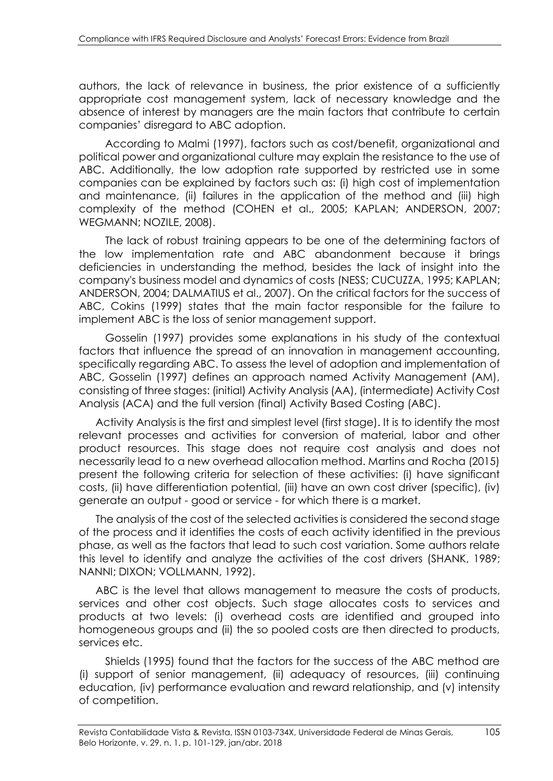authors, the lack of relevance in business, the prior existence of a sufficiently appropriate cost management system, lack of necessary knowledge and the absence of interest by managers are the main factors that contribute to certain companies' disregard to ABC adoption.

According to Malmi (1997), factors such as cost/benefit, organizational and political power and organizational culture may explain the resistance to the use of ABC. Additionally, the low adoption rate supported by restricted use in some companies can be explained by factors such as: (i) high cost of implementation and maintenance, (ii) failures in the application of the method and (iii) high complexity of the method (COHEN et al., 2005; KAPLAN; ANDERSON, 2007; WEGMANN; NOZILE, 2008).

The lack of robust training appears to be one of the determining factors of the low implementation rate and ABC abandonment because it brings deficiencies in understanding the method, besides the lack of insight into the company's business model and dynamics of costs (NESS; CUCUZZA, 1995; KAPLAN; ANDERSON, 2004; DALMATIUS et al., 2007). On the critical factors for the success of ABC, Cokins (1999) states that the main factor responsible for the failure to implement ABC is the loss of senior management support.

Gosselin (1997) provides some explanations in his study of the contextual factors that influence the spread of an innovation in management accounting, specifically regarding ABC. To assess the level of adoption and implementation of ABC, Gosselin (1997) defines an approach named Activity Management (AM), consisting of three stages: (initial) Activity Analysis (AA), (intermediate) Activity Cost Analysis (ACA) and the full version (final) Activity Based Costing (ABC).

Activity Analysis is the first and simplest level (first stage). It is to identify the most relevant processes and activities for conversion of material, labor and other product resources. This stage does not require cost analysis and does not necessarily lead to a new overhead allocation method. Martins and Rocha (2015) present the following criteria for selection of these activities: (i) have significant costs, (ii) have differentiation potential, (iii) have an own cost driver (specific), (iv) generate an output - good or service - for which there is a market.

The analysis of the cost of the selected activities is considered the second stage of the process and it identifies the costs of each activity identified in the previous phase, as well as the factors that lead to such cost variation. Some authors relate this level to identify and analyze the activities of the cost drivers (SHANK, 1989; NANNI; DIXON; VOLLMANN, 1992).

ABC is the level that allows management to measure the costs of products, services and other cost objects. Such stage allocates costs to services and products at two levels: (i) overhead costs are identified and grouped into homogeneous groups and (ii) the so pooled costs are then directed to products, services etc.

Shields (1995) found that the factors for the success of the ABC method are (i) support of senior management, (ii) adequacy of resources, (iii) continuing education, (iv) performance evaluation and reward relationship, and (v) intensity of competition.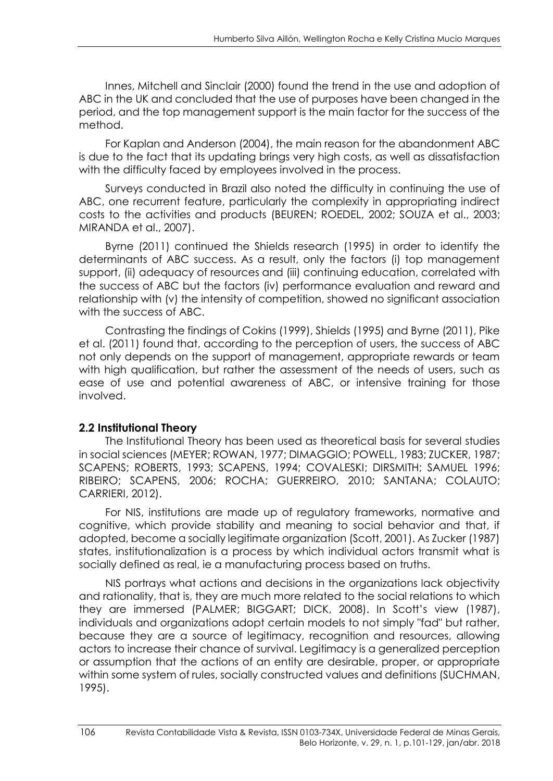Innes, Mitchell and Sinclair (2000) found the trend in the use and adoption of ABC in the UK and concluded that the use of purposes have been changed in the period, and the top management support is the main factor for the success of the method.

For Kaplan and Anderson (2004), the main reason for the abandonment ABC is due to the fact that its updating brings very high costs, as well as dissatisfaction with the difficulty faced by employees involved in the process.

Surveys conducted in Brazil also noted the difficulty in continuing the use of ABC, one recurrent feature, particularly the complexity in appropriating indirect costs to the activities and products (BEUREN; ROEDEL, 2002; SOUZA et al., 2003; MIRANDA et al., 2007).

Byrne (2011) continued the Shields research (1995) in order to identify the determinants of ABC success. As a result, only the factors (i) top management support, (ii) adequacy of resources and (iii) continuing education, correlated with the success of ABC but the factors (iv) performance evaluation and reward and relationship with (v) the intensity of competition, showed no significant association with the success of ABC.

Contrasting the findings of Cokins (1999), Shields (1995) and Byrne (2011), Pike et al. (2011) found that, according to the perception of users, the success of ABC not only depends on the support of management, appropriate rewards or team with high qualification, but rather the assessment of the needs of users, such as ease of use and potential awareness of ABC, or intensive training for those involved.

### **2.2 Institutional Theory**

The Institutional Theory has been used as theoretical basis for several studies in social sciences (MEYER; ROWAN, 1977; DIMAGGIO; POWELL, 1983; ZUCKER, 1987; SCAPENS; ROBERTS, 1993; SCAPENS, 1994; COVALESKI; DIRSMITH; SAMUEL 1996; RIBEIRO; SCAPENS, 2006; ROCHA; GUERREIRO, 2010; SANTANA; COLAUTO; CARRIERI, 2012).

For NIS, institutions are made up of regulatory frameworks, normative and cognitive, which provide stability and meaning to social behavior and that, if adopted, become a socially legitimate organization (Scott, 2001). As Zucker (1987) states, institutionalization is a process by which individual actors transmit what is socially defined as real, ie a manufacturing process based on truths.

NIS portrays what actions and decisions in the organizations lack objectivity and rationality, that is, they are much more related to the social relations to which they are immersed (PALMER; BIGGART; DICK, 2008). In Scott's view (1987), individuals and organizations adopt certain models to not simply "fad" but rather, because they are a source of legitimacy, recognition and resources, allowing actors to increase their chance of survival. Legitimacy is a generalized perception or assumption that the actions of an entity are desirable, proper, or appropriate within some system of rules, socially constructed values and definitions (SUCHMAN, 1995).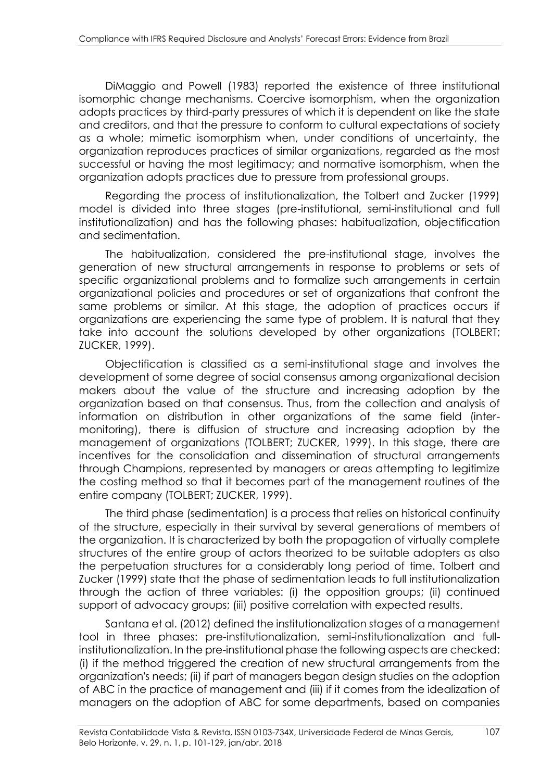DiMaggio and Powell (1983) reported the existence of three institutional isomorphic change mechanisms. Coercive isomorphism, when the organization adopts practices by third-party pressures of which it is dependent on like the state and creditors, and that the pressure to conform to cultural expectations of society as a whole; mimetic isomorphism when, under conditions of uncertainty, the organization reproduces practices of similar organizations, regarded as the most successful or having the most legitimacy; and normative isomorphism, when the organization adopts practices due to pressure from professional groups.

Regarding the process of institutionalization, the Tolbert and Zucker (1999) model is divided into three stages (pre-institutional, semi-institutional and full institutionalization) and has the following phases: habitualization, objectification and sedimentation.

The habitualization, considered the pre-institutional stage, involves the generation of new structural arrangements in response to problems or sets of specific organizational problems and to formalize such arrangements in certain organizational policies and procedures or set of organizations that confront the same problems or similar. At this stage, the adoption of practices occurs if organizations are experiencing the same type of problem. It is natural that they take into account the solutions developed by other organizations (TOLBERT; ZUCKER, 1999).

Objectification is classified as a semi-institutional stage and involves the development of some degree of social consensus among organizational decision makers about the value of the structure and increasing adoption by the organization based on that consensus. Thus, from the collection and analysis of information on distribution in other organizations of the same field (intermonitoring), there is diffusion of structure and increasing adoption by the management of organizations (TOLBERT; ZUCKER, 1999). In this stage, there are incentives for the consolidation and dissemination of structural arrangements through Champions, represented by managers or areas attempting to legitimize the costing method so that it becomes part of the management routines of the entire company (TOLBERT; ZUCKER, 1999).

The third phase (sedimentation) is a process that relies on historical continuity of the structure, especially in their survival by several generations of members of the organization. It is characterized by both the propagation of virtually complete structures of the entire group of actors theorized to be suitable adopters as also the perpetuation structures for a considerably long period of time. Tolbert and Zucker (1999) state that the phase of sedimentation leads to full institutionalization through the action of three variables: (i) the opposition groups; (ii) continued support of advocacy groups; (iii) positive correlation with expected results.

Santana et al. (2012) defined the institutionalization stages of a management tool in three phases: pre-institutionalization, semi-institutionalization and fullinstitutionalization. In the pre-institutional phase the following aspects are checked: (i) if the method triggered the creation of new structural arrangements from the organization's needs; (ii) if part of managers began design studies on the adoption of ABC in the practice of management and (iii) if it comes from the idealization of managers on the adoption of ABC for some departments, based on companies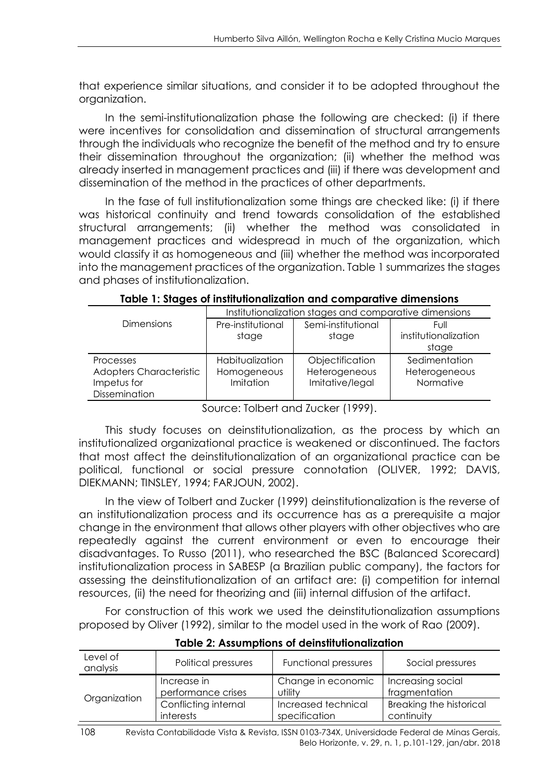that experience similar situations, and consider it to be adopted throughout the organization.

In the semi-institutionalization phase the following are checked: (i) if there were incentives for consolidation and dissemination of structural arrangements through the individuals who recognize the benefit of the method and try to ensure their dissemination throughout the organization; (ii) whether the method was already inserted in management practices and (iii) if there was development and dissemination of the method in the practices of other departments.

In the fase of full institutionalization some things are checked like: (i) if there was historical continuity and trend towards consolidation of the established structural arrangements; (ii) whether the method was consolidated in management practices and widespread in much of the organization, which would classify it as homogeneous and (iii) whether the method was incorporated into the management practices of the organization. Table 1 summarizes the stages and phases of institutionalization.

|                         | Institutionalization stages and comparative dimensions |                    |                      |  |
|-------------------------|--------------------------------------------------------|--------------------|----------------------|--|
| <b>Dimensions</b>       | Pre-institutional                                      | Semi-institutional | Full                 |  |
|                         | stage                                                  | stage              | institutionalization |  |
|                         |                                                        |                    | stage                |  |
| Processes               | Habitualization                                        | Objectification    | Sedimentation        |  |
| Adopters Characteristic | Homogeneous                                            | Heterogeneous      | Heterogeneous        |  |
| Impetus for             | Imitation                                              | Imitative/legal    | Normative            |  |
| Dissemination           |                                                        |                    |                      |  |
|                         |                                                        |                    |                      |  |

**Table 1: Stages of institutionalization and comparative dimensions**

Source: Tolbert and Zucker (1999).

This study focuses on deinstitutionalization, as the process by which an institutionalized organizational practice is weakened or discontinued. The factors that most affect the deinstitutionalization of an organizational practice can be political, functional or social pressure connotation (OLIVER, 1992; DAVIS, DIEKMANN; TINSLEY, 1994; FARJOUN, 2002).

In the view of Tolbert and Zucker (1999) deinstitutionalization is the reverse of an institutionalization process and its occurrence has as a prerequisite a major change in the environment that allows other players with other objectives who are repeatedly against the current environment or even to encourage their disadvantages. To Russo (2011), who researched the BSC (Balanced Scorecard) institutionalization process in SABESP (a Brazilian public company), the factors for assessing the deinstitutionalization of an artifact are: (i) competition for internal resources, (ii) the need for theorizing and (iii) internal diffusion of the artifact.

For construction of this work we used the deinstitutionalization assumptions proposed by Oliver (1992), similar to the model used in the work of Rao (2009).

| Level of<br>analysis | Political pressures  | Functional pressures | Social pressures               |
|----------------------|----------------------|----------------------|--------------------------------|
|                      | Increase in          | Change in economic   | Increasing social              |
|                      | performance crises   | utility              | fragmentation                  |
| Organization         | Conflicting internal | Increased technical  | <b>Breaking the historical</b> |
|                      | interests            | specification        | continuity                     |

**Table 2: Assumptions of deinstitutionalization**

<sup>108</sup> Revista Contabilidade Vista & Revista, ISSN 0103-734X, Universidade Federal de Minas Gerais, Belo Horizonte, v. 29, n. 1, p.101-129, jan/abr. 2018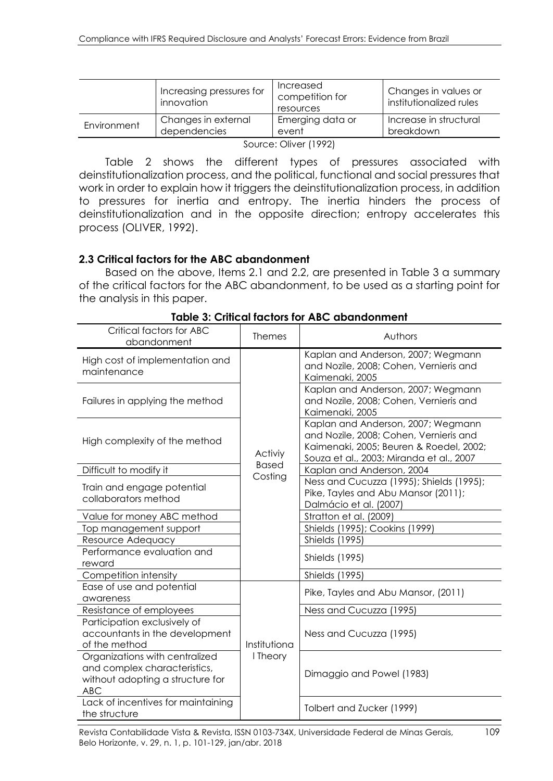| Emerging data or<br>Increase in structural<br>Changes in external<br>Environment<br>event | Increasing pressures for<br>innovation | Increased<br>competition for<br>resources | Changes in values or<br>institutionalized rules |
|-------------------------------------------------------------------------------------------|----------------------------------------|-------------------------------------------|-------------------------------------------------|
|                                                                                           | dependencies                           |                                           | breakdown                                       |

Source: Oliver (1992)

Table 2 shows the different types of pressures associated with deinstitutionalization process, and the political, functional and social pressures that work in order to explain how it triggers the deinstitutionalization process, in addition to pressures for inertia and entropy. The inertia hinders the process of deinstitutionalization and in the opposite direction; entropy accelerates this process (OLIVER, 1992).

#### **2.3 Critical factors for the ABC abandonment**

Based on the above, Items 2.1 and 2.2, are presented in Table 3 a summary of the critical factors for the ABC abandonment, to be used as a starting point for the analysis in this paper.

| Critical factors for ABC<br>abandonment                                                                          | <b>Themes</b>  | Authors                                                                                                                                                             |
|------------------------------------------------------------------------------------------------------------------|----------------|---------------------------------------------------------------------------------------------------------------------------------------------------------------------|
| High cost of implementation and<br>maintenance                                                                   |                | Kaplan and Anderson, 2007; Wegmann<br>and Nozile, 2008; Cohen, Vernieris and<br>Kaimenaki, 2005                                                                     |
| Failures in applying the method                                                                                  |                | Kaplan and Anderson, 2007; Wegmann<br>and Nozile, 2008; Cohen, Vernieris and<br>Kaimenaki, 2005                                                                     |
| High complexity of the method                                                                                    | <b>Activiy</b> | Kaplan and Anderson, 2007; Wegmann<br>and Nozile, 2008; Cohen, Vernieris and<br>Kaimenaki, 2005; Beuren & Roedel, 2002;<br>Souza et al., 2003; Miranda et al., 2007 |
| Difficult to modify it                                                                                           | <b>Based</b>   | Kaplan and Anderson, 2004                                                                                                                                           |
| Train and engage potential<br>collaborators method                                                               | Costing        | Ness and Cucuzza (1995); Shields (1995);<br>Pike, Tayles and Abu Mansor (2011);<br>Dalmácio et al. (2007)                                                           |
| Value for money ABC method                                                                                       |                | Stratton et al. (2009)                                                                                                                                              |
| Top management support                                                                                           |                | Shields (1995); Cookins (1999)                                                                                                                                      |
| Resource Adequacy                                                                                                |                | <b>Shields</b> (1995)                                                                                                                                               |
| Performance evaluation and<br>reward                                                                             |                | <b>Shields (1995)</b>                                                                                                                                               |
| Competition intensity                                                                                            |                | <b>Shields (1995)</b>                                                                                                                                               |
| Ease of use and potential<br>awareness                                                                           |                | Pike, Tayles and Abu Mansor, (2011)                                                                                                                                 |
| Resistance of employees                                                                                          |                | Ness and Cucuzza (1995)                                                                                                                                             |
| Participation exclusively of<br>accountants in the development<br>of the method                                  | Institutiona   | Ness and Cucuzza (1995)                                                                                                                                             |
| Organizations with centralized<br>and complex characteristics,<br>without adopting a structure for<br><b>ABC</b> | I Theory       | Dimaggio and Powel (1983)                                                                                                                                           |
| Lack of incentives for maintaining<br>the structure                                                              |                | Tolbert and Zucker (1999)                                                                                                                                           |

**Table 3: Critical factors for ABC abandonment**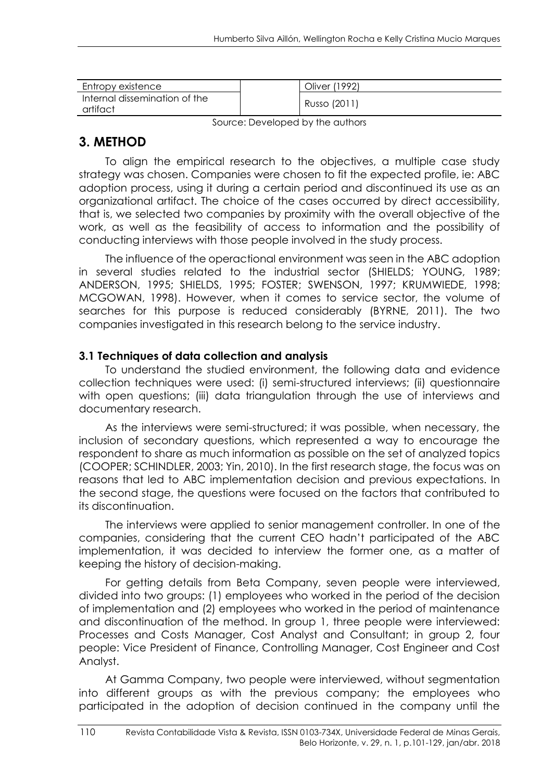| Entropy existence                         | Oliver (1992) |
|-------------------------------------------|---------------|
| Internal dissemination of the<br>artifact | Russo (2011)  |

Source: Developed by the authors

## **3. METHOD**

To align the empirical research to the objectives, a multiple case study strategy was chosen. Companies were chosen to fit the expected profile, ie: ABC adoption process, using it during a certain period and discontinued its use as an organizational artifact. The choice of the cases occurred by direct accessibility, that is, we selected two companies by proximity with the overall objective of the work, as well as the feasibility of access to information and the possibility of conducting interviews with those people involved in the study process.

The influence of the operactional environment was seen in the ABC adoption in several studies related to the industrial sector (SHIELDS; YOUNG, 1989; ANDERSON, 1995; SHIELDS, 1995; FOSTER; SWENSON, 1997; KRUMWIEDE, 1998; MCGOWAN, 1998). However, when it comes to service sector, the volume of searches for this purpose is reduced considerably (BYRNE, 2011). The two companies investigated in this research belong to the service industry.

### **3.1 Techniques of data collection and analysis**

To understand the studied environment, the following data and evidence collection techniques were used: (i) semi-structured interviews; (ii) questionnaire with open questions; (iii) data triangulation through the use of interviews and documentary research.

As the interviews were semi-structured; it was possible, when necessary, the inclusion of secondary questions, which represented a way to encourage the respondent to share as much information as possible on the set of analyzed topics (COOPER; SCHINDLER, 2003; Yin, 2010). In the first research stage, the focus was on reasons that led to ABC implementation decision and previous expectations. In the second stage, the questions were focused on the factors that contributed to its discontinuation.

The interviews were applied to senior management controller. In one of the companies, considering that the current CEO hadn't participated of the ABC implementation, it was decided to interview the former one, as a matter of keeping the history of decision-making.

For getting details from Beta Company, seven people were interviewed, divided into two groups: (1) employees who worked in the period of the decision of implementation and (2) employees who worked in the period of maintenance and discontinuation of the method. In group 1, three people were interviewed: Processes and Costs Manager, Cost Analyst and Consultant; in group 2, four people: Vice President of Finance, Controlling Manager, Cost Engineer and Cost Analyst.

At Gamma Company, two people were interviewed, without segmentation into different groups as with the previous company; the employees who participated in the adoption of decision continued in the company until the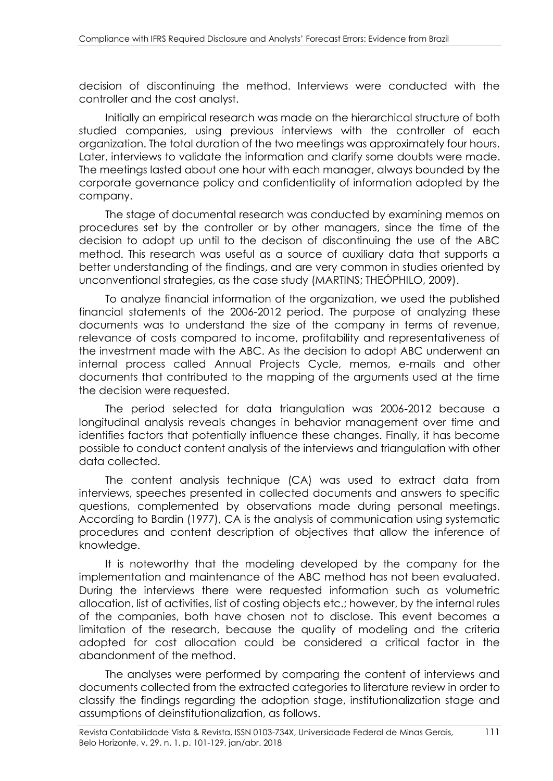decision of discontinuing the method. Interviews were conducted with the controller and the cost analyst.

Initially an empirical research was made on the hierarchical structure of both studied companies, using previous interviews with the controller of each organization. The total duration of the two meetings was approximately four hours. Later, interviews to validate the information and clarify some doubts were made. The meetings lasted about one hour with each manager, always bounded by the corporate governance policy and confidentiality of information adopted by the company.

The stage of documental research was conducted by examining memos on procedures set by the controller or by other managers, since the time of the decision to adopt up until to the decison of discontinuing the use of the ABC method. This research was useful as a source of auxiliary data that supports a better understanding of the findings, and are very common in studies oriented by unconventional strategies, as the case study (MARTINS; THEÓPHILO, 2009).

To analyze financial information of the organization, we used the published financial statements of the 2006-2012 period. The purpose of analyzing these documents was to understand the size of the company in terms of revenue, relevance of costs compared to income, profitability and representativeness of the investment made with the ABC. As the decision to adopt ABC underwent an internal process called Annual Projects Cycle, memos, e-mails and other documents that contributed to the mapping of the arguments used at the time the decision were requested.

The period selected for data triangulation was 2006-2012 because a longitudinal analysis reveals changes in behavior management over time and identifies factors that potentially influence these changes. Finally, it has become possible to conduct content analysis of the interviews and triangulation with other data collected.

The content analysis technique (CA) was used to extract data from interviews, speeches presented in collected documents and answers to specific questions, complemented by observations made during personal meetings. According to Bardin (1977), CA is the analysis of communication using systematic procedures and content description of objectives that allow the inference of knowledge.

It is noteworthy that the modeling developed by the company for the implementation and maintenance of the ABC method has not been evaluated. During the interviews there were requested information such as volumetric allocation, list of activities, list of costing objects etc.; however, by the internal rules of the companies, both have chosen not to disclose. This event becomes a limitation of the research, because the quality of modeling and the criteria adopted for cost allocation could be considered a critical factor in the abandonment of the method.

The analyses were performed by comparing the content of interviews and documents collected from the extracted categories to literature review in order to classify the findings regarding the adoption stage, institutionalization stage and assumptions of deinstitutionalization, as follows.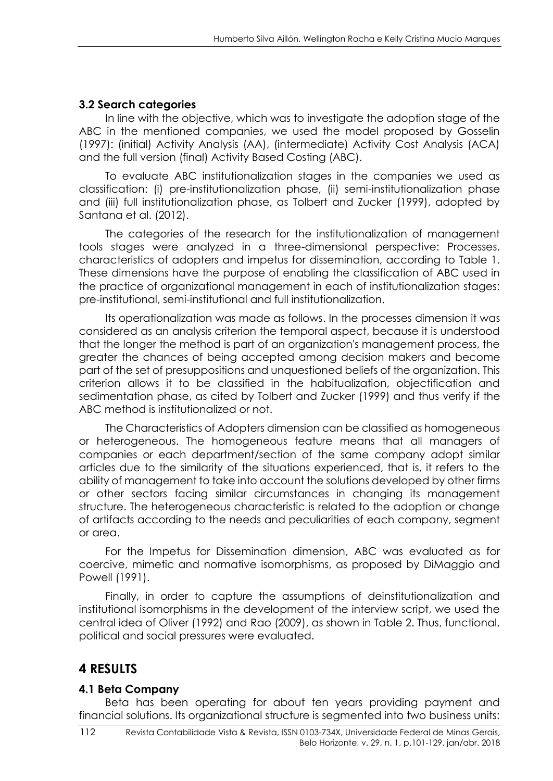## **3.2 Search categories**

In line with the objective, which was to investigate the adoption stage of the ABC in the mentioned companies, we used the model proposed by Gosselin (1997): (initial) Activity Analysis (AA), (intermediate) Activity Cost Analysis (ACA) and the full version (final) Activity Based Costing (ABC).

To evaluate ABC institutionalization stages in the companies we used as classification: (i) pre-institutionalization phase, (ii) semi-institutionalization phase and (iii) full institutionalization phase, as Tolbert and Zucker (1999), adopted by Santana et al. (2012).

The categories of the research for the institutionalization of management tools stages were analyzed in a three-dimensional perspective: Processes, characteristics of adopters and impetus for dissemination, according to Table 1. These dimensions have the purpose of enabling the classification of ABC used in the practice of organizational management in each of institutionalization stages: pre-institutional, semi-institutional and full institutionalization.

Its operationalization was made as follows. In the processes dimension it was considered as an analysis criterion the temporal aspect, because it is understood that the longer the method is part of an organization's management process, the greater the chances of being accepted among decision makers and become part of the set of presuppositions and unquestioned beliefs of the organization. This criterion allows it to be classified in the habitualization, objectification and sedimentation phase, as cited by Tolbert and Zucker (1999) and thus verify if the ABC method is institutionalized or not.

The Characteristics of Adopters dimension can be classified as homogeneous or heterogeneous. The homogeneous feature means that all managers of companies or each department/section of the same company adopt similar articles due to the similarity of the situations experienced, that is, it refers to the ability of management to take into account the solutions developed by other firms or other sectors facing similar circumstances in changing its management structure. The heterogeneous characteristic is related to the adoption or change of artifacts according to the needs and peculiarities of each company, segment or area.

For the Impetus for Dissemination dimension, ABC was evaluated as for coercive, mimetic and normative isomorphisms, as proposed by DiMaggio and Powell (1991).

Finally, in order to capture the assumptions of deinstitutionalization and institutional isomorphisms in the development of the interview script, we used the central idea of Oliver (1992) and Rao (2009), as shown in Table 2. Thus, functional, political and social pressures were evaluated.

## **4 RESULTS**

### **4.1 Beta Company**

Beta has been operating for about ten years providing payment and financial solutions. Its organizational structure is segmented into two business units: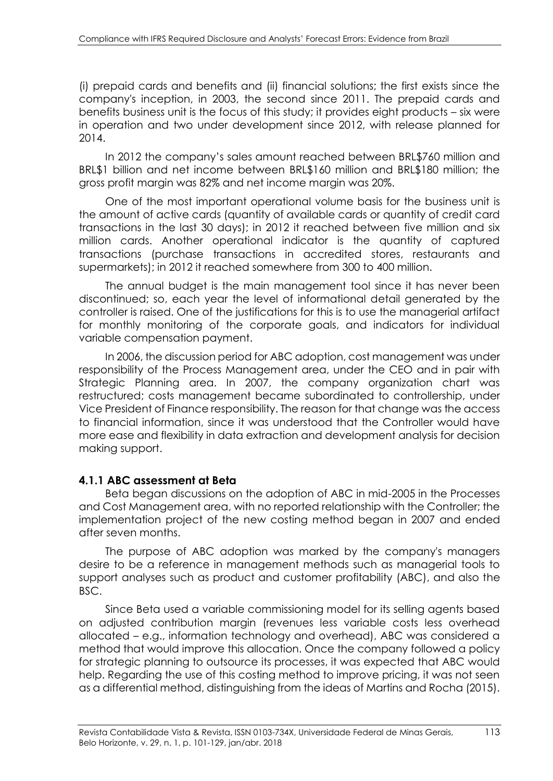(i) prepaid cards and benefits and (ii) financial solutions; the first exists since the company's inception, in 2003, the second since 2011. The prepaid cards and benefits business unit is the focus of this study; it provides eight products – six were in operation and two under development since 2012, with release planned for 2014.

In 2012 the company's sales amount reached between BRL\$760 million and BRL\$1 billion and net income between BRL\$160 million and BRL\$180 million; the gross profit margin was 82% and net income margin was 20%.

One of the most important operational volume basis for the business unit is the amount of active cards (quantity of available cards or quantity of credit card transactions in the last 30 days); in 2012 it reached between five million and six million cards. Another operational indicator is the quantity of captured transactions (purchase transactions in accredited stores, restaurants and supermarkets); in 2012 it reached somewhere from 300 to 400 million.

The annual budget is the main management tool since it has never been discontinued; so, each year the level of informational detail generated by the controller is raised. One of the justifications for this is to use the managerial artifact for monthly monitoring of the corporate goals, and indicators for individual variable compensation payment.

In 2006, the discussion period for ABC adoption, cost management was under responsibility of the Process Management area, under the CEO and in pair with Strategic Planning area. In 2007, the company organization chart was restructured; costs management became subordinated to controllership, under Vice President of Finance responsibility. The reason for that change was the access to financial information, since it was understood that the Controller would have more ease and flexibility in data extraction and development analysis for decision making support.

#### **4.1.1 ABC assessment at Beta**

Beta began discussions on the adoption of ABC in mid-2005 in the Processes and Cost Management area, with no reported relationship with the Controller; the implementation project of the new costing method began in 2007 and ended after seven months.

The purpose of ABC adoption was marked by the company's managers desire to be a reference in management methods such as managerial tools to support analyses such as product and customer profitability (ABC), and also the BSC.

Since Beta used a variable commissioning model for its selling agents based on adjusted contribution margin (revenues less variable costs less overhead allocated – e.g., information technology and overhead), ABC was considered a method that would improve this allocation. Once the company followed a policy for strategic planning to outsource its processes, it was expected that ABC would help. Regarding the use of this costing method to improve pricing, it was not seen as a differential method, distinguishing from the ideas of Martins and Rocha (2015).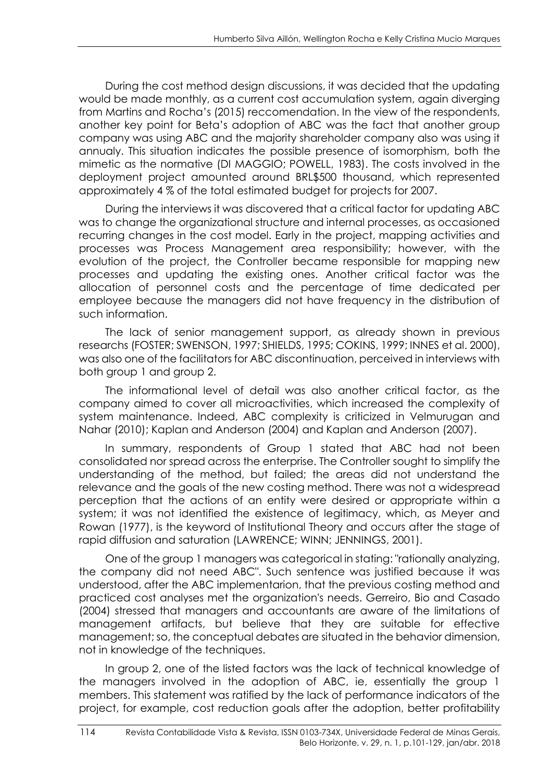During the cost method design discussions, it was decided that the updating would be made monthly, as a current cost accumulation system, again diverging from Martins and Rocha's (2015) reccomendation. In the view of the respondents, another key point for Beta's adoption of ABC was the fact that another group company was using ABC and the majority shareholder company also was using it annualy. This situation indicates the possible presence of isomorphism, both the mimetic as the normative (DI MAGGIO; POWELL, 1983). The costs involved in the deployment project amounted around BRL\$500 thousand, which represented approximately 4 % of the total estimated budget for projects for 2007.

During the interviews it was discovered that a critical factor for updating ABC was to change the organizational structure and internal processes, as occasioned recurring changes in the cost model. Early in the project, mapping activities and processes was Process Management area responsibility; however, with the evolution of the project, the Controller became responsible for mapping new processes and updating the existing ones. Another critical factor was the allocation of personnel costs and the percentage of time dedicated per employee because the managers did not have frequency in the distribution of such information.

The lack of senior management support, as already shown in previous researchs (FOSTER; SWENSON, 1997; SHIELDS, 1995; COKINS, 1999; INNES et al. 2000), was also one of the facilitators for ABC discontinuation, perceived in interviews with both group 1 and group 2.

The informational level of detail was also another critical factor, as the company aimed to cover all microactivities, which increased the complexity of system maintenance. Indeed, ABC complexity is criticized in Velmurugan and Nahar (2010); Kaplan and Anderson (2004) and Kaplan and Anderson (2007).

In summary, respondents of Group 1 stated that ABC had not been consolidated nor spread across the enterprise. The Controller sought to simplify the understanding of the method, but failed; the areas did not understand the relevance and the goals of the new costing method. There was not a widespread perception that the actions of an entity were desired or appropriate within a system; it was not identified the existence of legitimacy, which, as Meyer and Rowan (1977), is the keyword of Institutional Theory and occurs after the stage of rapid diffusion and saturation (LAWRENCE; WINN; JENNINGS, 2001).

One of the group 1 managers was categorical in stating: "rationally analyzing, the company did not need ABC". Such sentence was justified because it was understood, after the ABC implementarion, that the previous costing method and practiced cost analyses met the organization's needs. Gerreiro, Bio and Casado (2004) stressed that managers and accountants are aware of the limitations of management artifacts, but believe that they are suitable for effective management; so, the conceptual debates are situated in the behavior dimension, not in knowledge of the techniques.

In group 2, one of the listed factors was the lack of technical knowledge of the managers involved in the adoption of ABC, ie, essentially the group 1 members. This statement was ratified by the lack of performance indicators of the project, for example, cost reduction goals after the adoption, better profitability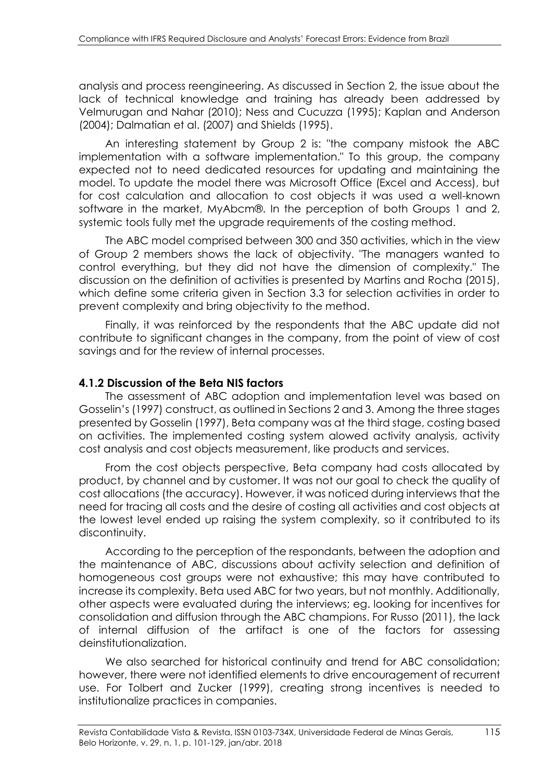analysis and process reengineering. As discussed in Section 2, the issue about the lack of technical knowledge and training has already been addressed by Velmurugan and Nahar (2010); Ness and Cucuzza (1995); Kaplan and Anderson (2004); Dalmatian et al. (2007) and Shields (1995).

An interesting statement by Group 2 is: "the company mistook the ABC implementation with a software implementation." To this group, the company expected not to need dedicated resources for updating and maintaining the model. To update the model there was Microsoft Office (Excel and Access), but for cost calculation and allocation to cost objects it was used a well-known software in the market, MyAbcm®. In the perception of both Groups 1 and 2, systemic tools fully met the upgrade requirements of the costing method.

The ABC model comprised between 300 and 350 activities, which in the view of Group 2 members shows the lack of objectivity. "The managers wanted to control everything, but they did not have the dimension of complexity." The discussion on the definition of activities is presented by Martins and Rocha (2015), which define some criteria given in Section 3.3 for selection activities in order to prevent complexity and bring objectivity to the method.

Finally, it was reinforced by the respondents that the ABC update did not contribute to significant changes in the company, from the point of view of cost savings and for the review of internal processes.

### **4.1.2 Discussion of the Beta NIS factors**

The assessment of ABC adoption and implementation level was based on Gosselin's (1997) construct, as outlined in Sections 2 and 3. Among the three stages presented by Gosselin (1997), Beta company was at the third stage, costing based on activities. The implemented costing system alowed activity analysis, activity cost analysis and cost objects measurement, like products and services.

From the cost objects perspective, Beta company had costs allocated by product, by channel and by customer. It was not our goal to check the quality of cost allocations (the accuracy). However, it was noticed during interviews that the need for tracing all costs and the desire of costing all activities and cost objects at the lowest level ended up raising the system complexity, so it contributed to its discontinuity.

According to the perception of the respondants, between the adoption and the maintenance of ABC, discussions about activity selection and definition of homogeneous cost groups were not exhaustive; this may have contributed to increase its complexity. Beta used ABC for two years, but not monthly. Additionally, other aspects were evaluated during the interviews; eg. looking for incentives for consolidation and diffusion through the ABC champions. For Russo (2011), the lack of internal diffusion of the artifact is one of the factors for assessing deinstitutionalization.

We also searched for historical continuity and trend for ABC consolidation; however, there were not identified elements to drive encouragement of recurrent use. For Tolbert and Zucker (1999), creating strong incentives is needed to institutionalize practices in companies.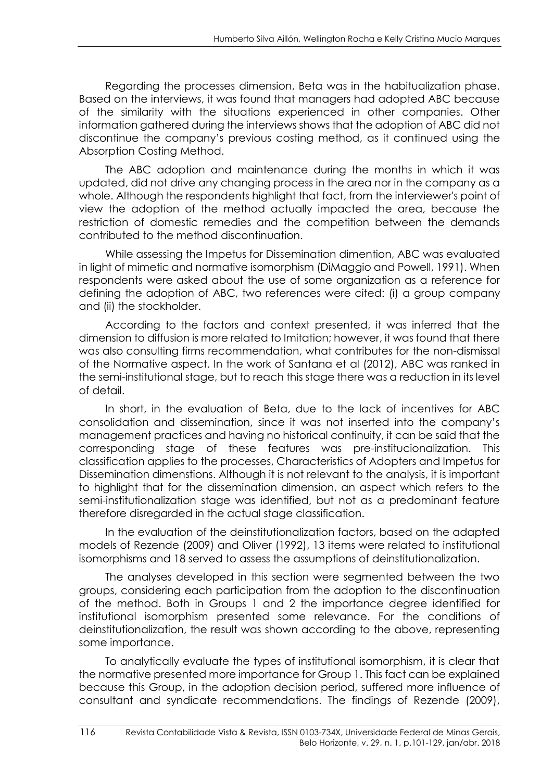Regarding the processes dimension, Beta was in the habitualization phase. Based on the interviews, it was found that managers had adopted ABC because of the similarity with the situations experienced in other companies. Other information gathered during the interviews shows that the adoption of ABC did not discontinue the company's previous costing method, as it continued using the Absorption Costing Method.

The ABC adoption and maintenance during the months in which it was updated, did not drive any changing process in the area nor in the company as a whole. Although the respondents highlight that fact, from the interviewer's point of view the adoption of the method actually impacted the area, because the restriction of domestic remedies and the competition between the demands contributed to the method discontinuation.

While assessing the Impetus for Dissemination dimention, ABC was evaluated in light of mimetic and normative isomorphism (DiMaggio and Powell, 1991). When respondents were asked about the use of some organization as a reference for defining the adoption of ABC, two references were cited: (i) a group company and (ii) the stockholder.

According to the factors and context presented, it was inferred that the dimension to diffusion is more related to Imitation; however, it was found that there was also consulting firms recommendation, what contributes for the non-dismissal of the Normative aspect. In the work of Santana et al (2012), ABC was ranked in the semi-institutional stage, but to reach this stage there was a reduction in its level of detail.

In short, in the evaluation of Beta, due to the lack of incentives for ABC consolidation and dissemination, since it was not inserted into the company's management practices and having no historical continuity, it can be said that the corresponding stage of these features was pre-institucionalization. This classification applies to the processes, Characteristics of Adopters and Impetus for Dissemination dimenstions. Although it is not relevant to the analysis, it is important to highlight that for the dissemination dimension, an aspect which refers to the semi-institutionalization stage was identified, but not as a predominant feature therefore disregarded in the actual stage classification.

In the evaluation of the deinstitutionalization factors, based on the adapted models of Rezende (2009) and Oliver (1992), 13 items were related to institutional isomorphisms and 18 served to assess the assumptions of deinstitutionalization.

The analyses developed in this section were segmented between the two groups, considering each participation from the adoption to the discontinuation of the method. Both in Groups 1 and 2 the importance degree identified for institutional isomorphism presented some relevance. For the conditions of deinstitutionalization, the result was shown according to the above, representing some importance.

To analytically evaluate the types of institutional isomorphism, it is clear that the normative presented more importance for Group 1. This fact can be explained because this Group, in the adoption decision period, suffered more influence of consultant and syndicate recommendations. The findings of Rezende (2009),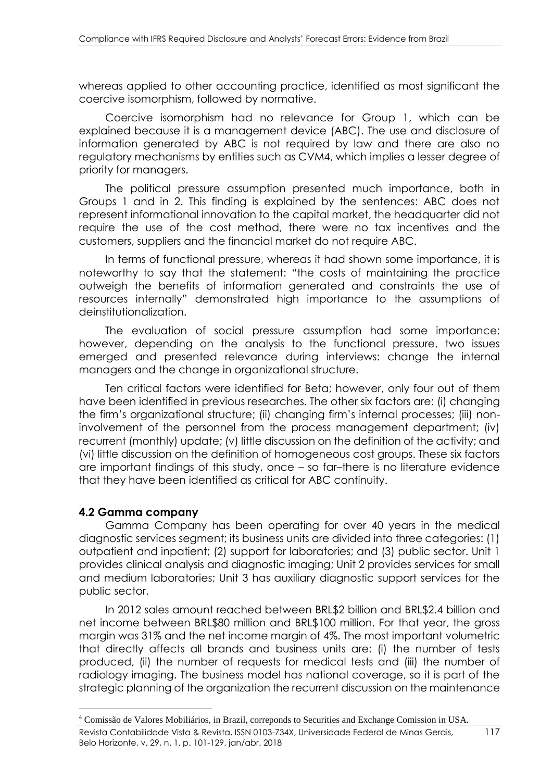whereas applied to other accounting practice, identified as most significant the coercive isomorphism, followed by normative.

Coercive isomorphism had no relevance for Group 1, which can be explained because it is a management device (ABC). The use and disclosure of information generated by ABC is not required by law and there are also no regulatory mechanisms by entities such as CVM4, which implies a lesser degree of priority for managers.

The political pressure assumption presented much importance, both in Groups 1 and in 2. This finding is explained by the sentences: ABC does not represent informational innovation to the capital market, the headquarter did not require the use of the cost method, there were no tax incentives and the customers, suppliers and the financial market do not require ABC.

In terms of functional pressure, whereas it had shown some importance, it is noteworthy to say that the statement: "the costs of maintaining the practice outweigh the benefits of information generated and constraints the use of resources internally" demonstrated high importance to the assumptions of deinstitutionalization.

The evaluation of social pressure assumption had some importance; however, depending on the analysis to the functional pressure, two issues emerged and presented relevance during interviews: change the internal managers and the change in organizational structure.

Ten critical factors were identified for Beta; however, only four out of them have been identified in previous researches. The other six factors are: (i) changing the firm's organizational structure; (ii) changing firm's internal processes; (iii) noninvolvement of the personnel from the process management department; (iv) recurrent (monthly) update; (v) little discussion on the definition of the activity; and (vi) little discussion on the definition of homogeneous cost groups. These six factors are important findings of this study, once – so far–there is no literature evidence that they have been identified as critical for ABC continuity.

### **4.2 Gamma company**

1

Gamma Company has been operating for over 40 years in the medical diagnostic services segment; its business units are divided into three categories: (1) outpatient and inpatient; (2) support for laboratories; and (3) public sector. Unit 1 provides clinical analysis and diagnostic imaging; Unit 2 provides services for small and medium laboratories; Unit 3 has auxiliary diagnostic support services for the public sector.

In 2012 sales amount reached between BRL\$2 billion and BRL\$2.4 billion and net income between BRL\$80 million and BRL\$100 million. For that year, the gross margin was 31% and the net income margin of 4%. The most important volumetric that directly affects all brands and business units are: (i) the number of tests produced, (ii) the number of requests for medical tests and (iii) the number of radiology imaging. The business model has national coverage, so it is part of the strategic planning of the organization the recurrent discussion on the maintenance

<sup>4</sup> Comissão de Valores Mobiliários, in Brazil, correponds to Securities and Exchange Comission in USA.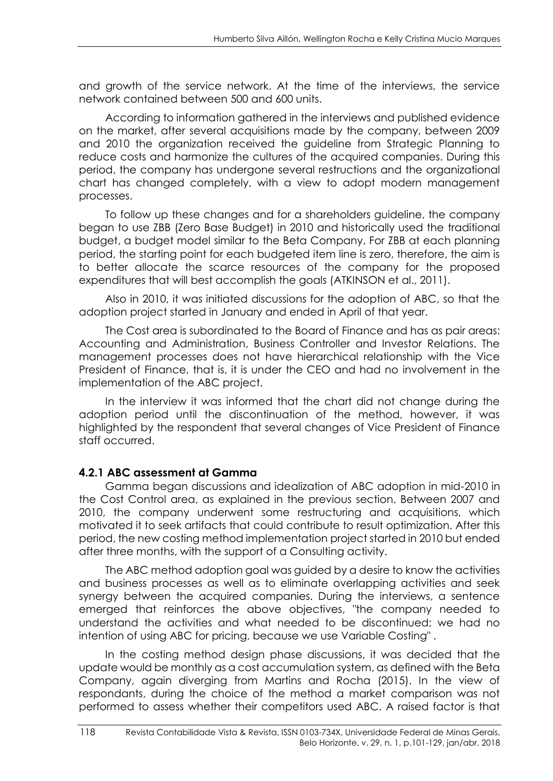and growth of the service network. At the time of the interviews, the service network contained between 500 and 600 units.

According to information gathered in the interviews and published evidence on the market, after several acquisitions made by the company, between 2009 and 2010 the organization received the guideline from Strategic Planning to reduce costs and harmonize the cultures of the acquired companies. During this period, the company has undergone several restructions and the organizational chart has changed completely, with a view to adopt modern management processes.

To follow up these changes and for a shareholders guideline, the company began to use ZBB (Zero Base Budget) in 2010 and historically used the traditional budget, a budget model similar to the Beta Company. For ZBB at each planning period, the starting point for each budgeted item line is zero, therefore, the aim is to better allocate the scarce resources of the company for the proposed expenditures that will best accomplish the goals (ATKINSON et al., 2011).

Also in 2010, it was initiated discussions for the adoption of ABC, so that the adoption project started in January and ended in April of that year.

The Cost area is subordinated to the Board of Finance and has as pair areas: Accounting and Administration, Business Controller and Investor Relations. The management processes does not have hierarchical relationship with the Vice President of Finance, that is, it is under the CEO and had no involvement in the implementation of the ABC project.

In the interview it was informed that the chart did not change during the adoption period until the discontinuation of the method, however, it was highlighted by the respondent that several changes of Vice President of Finance staff occurred.

### **4.2.1 ABC assessment at Gamma**

Gamma began discussions and idealization of ABC adoption in mid-2010 in the Cost Control area, as explained in the previous section. Between 2007 and 2010, the company underwent some restructuring and acquisitions, which motivated it to seek artifacts that could contribute to result optimization. After this period, the new costing method implementation project started in 2010 but ended after three months, with the support of a Consulting activity.

The ABC method adoption goal was guided by a desire to know the activities and business processes as well as to eliminate overlapping activities and seek synergy between the acquired companies. During the interviews, a sentence emerged that reinforces the above objectives, "the company needed to understand the activities and what needed to be discontinued; we had no intention of using ABC for pricing, because we use Variable Costing" .

In the costing method design phase discussions, it was decided that the update would be monthly as a cost accumulation system, as defined with the Beta Company, again diverging from Martins and Rocha (2015). In the view of respondants, during the choice of the method a market comparison was not performed to assess whether their competitors used ABC. A raised factor is that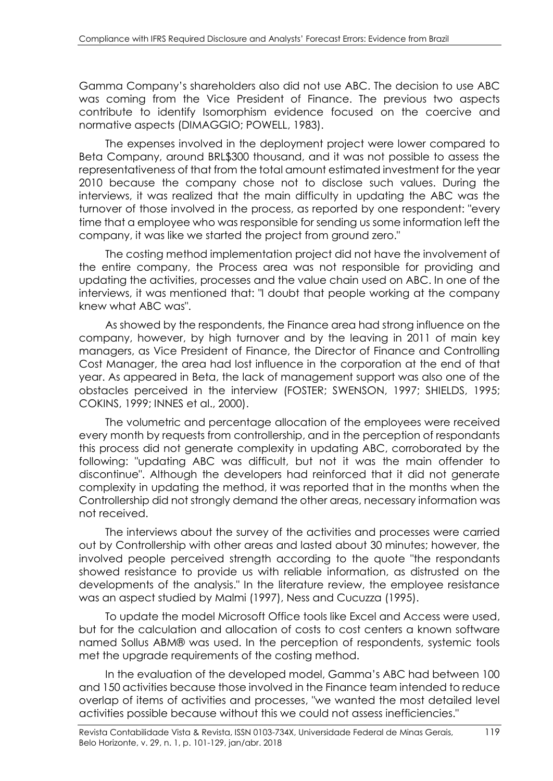Gamma Company's shareholders also did not use ABC. The decision to use ABC was coming from the Vice President of Finance. The previous two aspects contribute to identify Isomorphism evidence focused on the coercive and normative aspects (DIMAGGIO; POWELL, 1983).

The expenses involved in the deployment project were lower compared to Beta Company, around BRL\$300 thousand, and it was not possible to assess the representativeness of that from the total amount estimated investment for the year 2010 because the company chose not to disclose such values. During the interviews, it was realized that the main difficulty in updating the ABC was the turnover of those involved in the process, as reported by one respondent: "every time that a employee who was responsible for sending us some information left the company, it was like we started the project from ground zero."

The costing method implementation project did not have the involvement of the entire company, the Process area was not responsible for providing and updating the activities, processes and the value chain used on ABC. In one of the interviews, it was mentioned that: "I doubt that people working at the company knew what ABC was".

As showed by the respondents, the Finance area had strong influence on the company, however, by high turnover and by the leaving in 2011 of main key managers, as Vice President of Finance, the Director of Finance and Controlling Cost Manager, the area had lost influence in the corporation at the end of that year. As appeared in Beta, the lack of management support was also one of the obstacles perceived in the interview (FOSTER; SWENSON, 1997; SHIELDS, 1995; COKINS, 1999; INNES et al., 2000).

The volumetric and percentage allocation of the employees were received every month by requests from controllership, and in the perception of respondants this process did not generate complexity in updating ABC, corroborated by the following: "updating ABC was difficult, but not it was the main offender to discontinue". Although the developers had reinforced that it did not generate complexity in updating the method, it was reported that in the months when the Controllership did not strongly demand the other areas, necessary information was not received.

The interviews about the survey of the activities and processes were carried out by Controllership with other areas and lasted about 30 minutes; however, the involved people perceived strength according to the quote "the respondants showed resistance to provide us with reliable information, as distrusted on the developments of the analysis." In the literature review, the employee resistance was an aspect studied by Malmi (1997), Ness and Cucuzza (1995).

To update the model Microsoft Office tools like Excel and Access were used, but for the calculation and allocation of costs to cost centers a known software named Sollus ABM® was used. In the perception of respondents, systemic tools met the upgrade requirements of the costing method.

In the evaluation of the developed model, Gamma's ABC had between 100 and 150 activities because those involved in the Finance team intended to reduce overlap of items of activities and processes, "we wanted the most detailed level activities possible because without this we could not assess inefficiencies."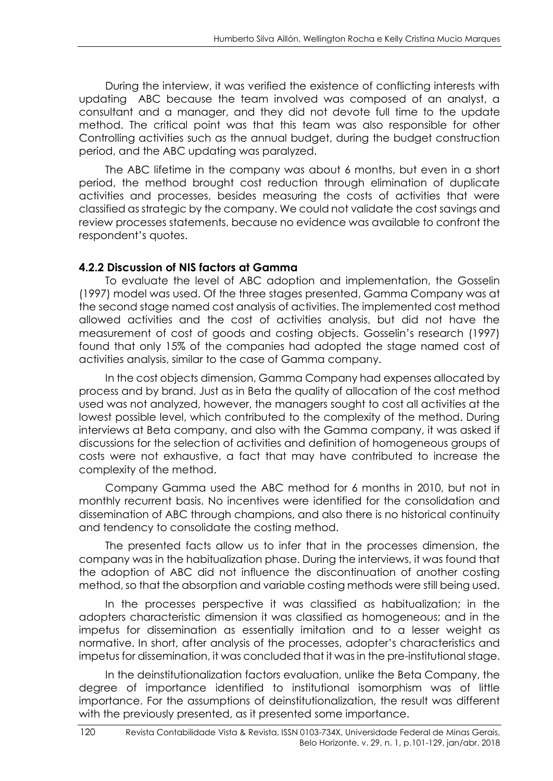During the interview, it was verified the existence of conflicting interests with updating ABC because the team involved was composed of an analyst, a consultant and a manager, and they did not devote full time to the update method. The critical point was that this team was also responsible for other Controlling activities such as the annual budget, during the budget construction period, and the ABC updating was paralyzed.

The ABC lifetime in the company was about 6 months, but even in a short period, the method brought cost reduction through elimination of duplicate activities and processes, besides measuring the costs of activities that were classified as strategic by the company. We could not validate the cost savings and review processes statements, because no evidence was available to confront the respondent's quotes.

### **4.2.2 Discussion of NIS factors at Gamma**

To evaluate the level of ABC adoption and implementation, the Gosselin (1997) model was used. Of the three stages presented, Gamma Company was at the second stage named cost analysis of activities. The implemented cost method allowed activities and the cost of activities analysis, but did not have the measurement of cost of goods and costing objects. Gosselin's research (1997) found that only 15% of the companies had adopted the stage named cost of activities analysis, similar to the case of Gamma company.

In the cost objects dimension, Gamma Company had expenses allocated by process and by brand. Just as in Beta the quality of allocation of the cost method used was not analyzed, however, the managers sought to cost all activities at the lowest possible level, which contributed to the complexity of the method. During interviews at Beta company, and also with the Gamma company, it was asked if discussions for the selection of activities and definition of homogeneous groups of costs were not exhaustive, a fact that may have contributed to increase the complexity of the method.

Company Gamma used the ABC method for 6 months in 2010, but not in monthly recurrent basis. No incentives were identified for the consolidation and dissemination of ABC through champions, and also there is no historical continuity and tendency to consolidate the costing method.

The presented facts allow us to infer that in the processes dimension, the company was in the habitualization phase. During the interviews, it was found that the adoption of ABC did not influence the discontinuation of another costing method, so that the absorption and variable costing methods were still being used.

In the processes perspective it was classified as habitualization; in the adopters characteristic dimension it was classified as homogeneous; and in the impetus for dissemination as essentially imitation and to a lesser weight as normative. In short, after analysis of the processes, adopter's characteristics and impetus for dissemination, it was concluded that it was in the pre-institutional stage.

In the deinstitutionalization factors evaluation, unlike the Beta Company, the degree of importance identified to institutional isomorphism was of little importance. For the assumptions of deinstitutionalization, the result was different with the previously presented, as it presented some importance.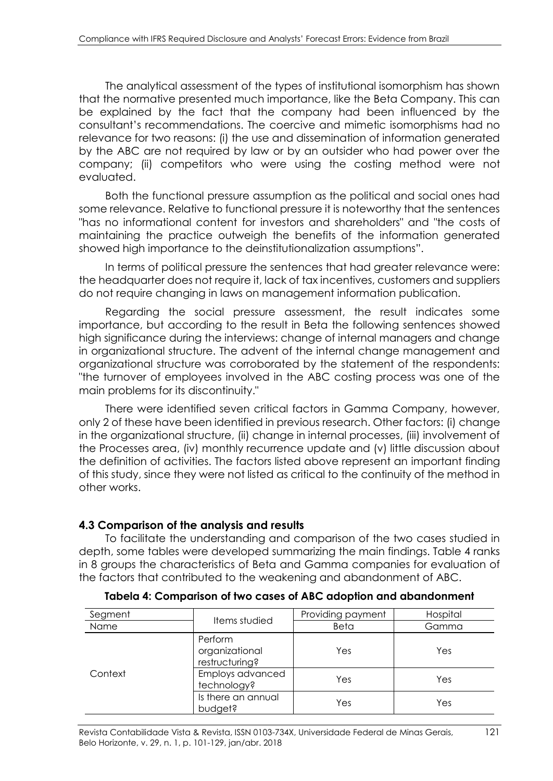The analytical assessment of the types of institutional isomorphism has shown that the normative presented much importance, like the Beta Company. This can be explained by the fact that the company had been influenced by the consultant's recommendations. The coercive and mimetic isomorphisms had no relevance for two reasons: (i) the use and dissemination of information generated by the ABC are not required by law or by an outsider who had power over the company; (ii) competitors who were using the costing method were not evaluated.

Both the functional pressure assumption as the political and social ones had some relevance. Relative to functional pressure it is noteworthy that the sentences "has no informational content for investors and shareholders" and "the costs of maintaining the practice outweigh the benefits of the information generated showed high importance to the deinstitutionalization assumptions".

In terms of political pressure the sentences that had greater relevance were: the headquarter does not require it, lack of tax incentives, customers and suppliers do not require changing in laws on management information publication.

Regarding the social pressure assessment, the result indicates some importance, but according to the result in Beta the following sentences showed high significance during the interviews: change of internal managers and change in organizational structure. The advent of the internal change management and organizational structure was corroborated by the statement of the respondents: "the turnover of employees involved in the ABC costing process was one of the main problems for its discontinuity."

There were identified seven critical factors in Gamma Company, however, only 2 of these have been identified in previous research. Other factors: (i) change in the organizational structure, (ii) change in internal processes, (iii) involvement of the Processes area, (iv) monthly recurrence update and (v) little discussion about the definition of activities. The factors listed above represent an important finding of this study, since they were not listed as critical to the continuity of the method in other works.

### **4.3 Comparison of the analysis and results**

To facilitate the understanding and comparison of the two cases studied in depth, some tables were developed summarizing the main findings. Table 4 ranks in 8 groups the characteristics of Beta and Gamma companies for evaluation of the factors that contributed to the weakening and abandonment of ABC.

| Segment |                                             | Providing payment | Hospital |  |
|---------|---------------------------------------------|-------------------|----------|--|
| Name    | Items studied                               | Beta              | Gamma    |  |
|         | Perform<br>organizational<br>restructuring? | Yes               | Yes      |  |
| Context | Employs advanced<br>technology?             | Yes               | Yes      |  |
|         | Is there an annual<br>budget?               | Yes               | Yes      |  |

**Tabela 4: Comparison of two cases of ABC adoption and abandonment**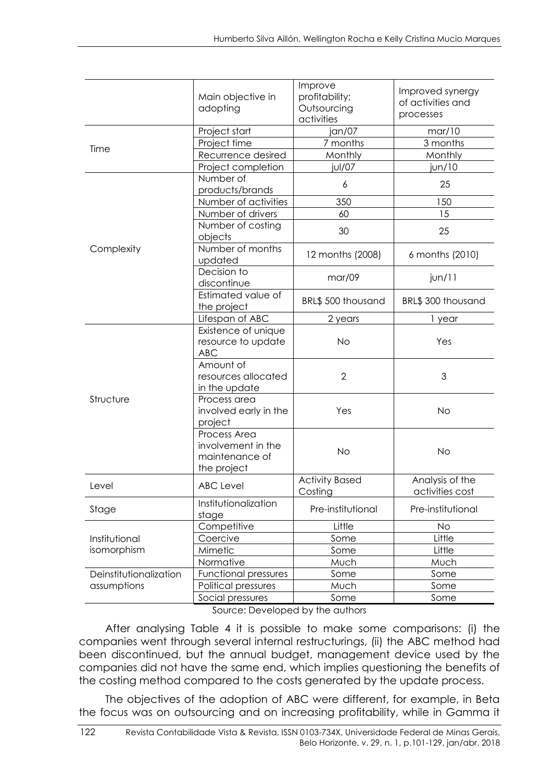|                        | Main objective in<br>adopting                                       | Improve<br>profitability;<br>Outsourcing<br>activities | Improved synergy<br>of activities and<br>processes |
|------------------------|---------------------------------------------------------------------|--------------------------------------------------------|----------------------------------------------------|
|                        | Project start                                                       | jan/07                                                 | mar/10                                             |
|                        | Project time                                                        | 7 months                                               | 3 months                                           |
| Time                   | Recurrence desired                                                  | Monthly                                                | Monthly                                            |
|                        | Project completion                                                  | jul/07                                                 | jun/10                                             |
|                        | Number of                                                           | 6                                                      | 25                                                 |
|                        | products/brands                                                     |                                                        |                                                    |
|                        | Number of activities                                                | 350                                                    | 150                                                |
|                        | Number of drivers                                                   | 60                                                     | 15                                                 |
|                        | Number of costing<br>objects                                        | 30                                                     | 25                                                 |
| Complexity             | Number of months<br>updated                                         | 12 months (2008)                                       | 6 months (2010)                                    |
|                        | Decision to<br>discontinue                                          | mar/09                                                 | $j$ un/11                                          |
|                        | Estimated value of<br>the project                                   | BRL\$ 500 thousand                                     | BRL\$ 300 thousand                                 |
|                        | Lifespan of ABC                                                     | 2 years                                                | 1 year                                             |
|                        | Existence of unique<br>resource to update<br><b>ABC</b>             | <b>No</b>                                              | Yes                                                |
|                        | Amount of<br>resources allocated<br>in the update                   | $\overline{2}$                                         | 3                                                  |
| Structure              | Process area<br>involved early in the<br>project                    | Yes                                                    | <b>No</b>                                          |
|                        | Process Area<br>involvement in the<br>maintenance of<br>the project | <b>No</b>                                              | <b>No</b>                                          |
| Level                  | <b>ABC</b> Level                                                    | <b>Activity Based</b><br>Costina                       | Analysis of the<br>activities cost                 |
| Stage                  | Institutionalization<br>stage                                       | Pre-institutional                                      | Pre-institutional                                  |
|                        | Competitive                                                         | Little                                                 | No                                                 |
| Institutional          | Coercive                                                            | Some                                                   | Little                                             |
| isomorphism            | Mimetic                                                             | Some                                                   | Little                                             |
|                        | Normative                                                           | Much                                                   | Much                                               |
| Deinstitutionalization | <b>Functional pressures</b>                                         | Some                                                   | Some                                               |
| assumptions            | Political pressures                                                 | Much                                                   | Some                                               |
|                        | Social pressures                                                    | Some                                                   | Some                                               |

Source: Developed by the authors

After analysing Table 4 it is possible to make some comparisons: (i) the companies went through several internal restructurings, (ii) the ABC method had been discontinued, but the annual budget, management device used by the companies did not have the same end, which implies questioning the benefits of the costing method compared to the costs generated by the update process.

The objectives of the adoption of ABC were different, for example, in Beta the focus was on outsourcing and on increasing profitability, while in Gamma it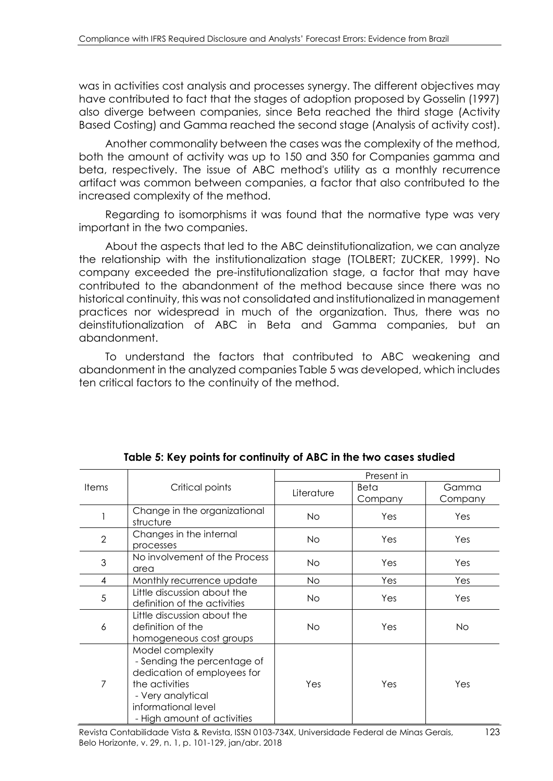was in activities cost analysis and processes synergy. The different objectives may have contributed to fact that the stages of adoption proposed by Gosselin (1997) also diverge between companies, since Beta reached the third stage (Activity Based Costing) and Gamma reached the second stage (Analysis of activity cost).

Another commonality between the cases was the complexity of the method, both the amount of activity was up to 150 and 350 for Companies gamma and beta, respectively. The issue of ABC method's utility as a monthly recurrence artifact was common between companies, a factor that also contributed to the increased complexity of the method.

Regarding to isomorphisms it was found that the normative type was very important in the two companies.

About the aspects that led to the ABC deinstitutionalization, we can analyze the relationship with the institutionalization stage (TOLBERT; ZUCKER, 1999). No company exceeded the pre-institutionalization stage, a factor that may have contributed to the abandonment of the method because since there was no historical continuity, this was not consolidated and institutionalized in management practices nor widespread in much of the organization. Thus, there was no deinstitutionalization of ABC in Beta and Gamma companies, but an abandonment.

To understand the factors that contributed to ABC weakening and abandonment in the analyzed companies Table 5 was developed, which includes ten critical factors to the continuity of the method.

|                | Critical points                                                                                                                                                             | Present in |                 |                  |
|----------------|-----------------------------------------------------------------------------------------------------------------------------------------------------------------------------|------------|-----------------|------------------|
| <b>Items</b>   |                                                                                                                                                                             | Literature | Beta<br>Company | Gamma<br>Company |
|                | Change in the organizational<br>structure                                                                                                                                   | No.        | Yes             | Yes              |
| $\overline{2}$ | Changes in the internal<br>processes                                                                                                                                        | No.        | Yes             | Yes              |
| 3              | No involvement of the Process<br>area                                                                                                                                       | No.        | Yes             | Yes              |
| 4              | Monthly recurrence update                                                                                                                                                   | No.        | Yes             | Yes              |
| 5              | Little discussion about the<br>definition of the activities                                                                                                                 | No.        | Yes             | Yes              |
| 6              | Little discussion about the<br>definition of the<br>homogeneous cost groups                                                                                                 | No.        | Yes             | <b>No</b>        |
| 7              | Model complexity<br>- Sending the percentage of<br>dedication of employees for<br>the activities<br>- Very analytical<br>informational level<br>- High amount of activities | Yes        | Yes             | Yes              |

**Table 5: Key points for continuity of ABC in the two cases studied**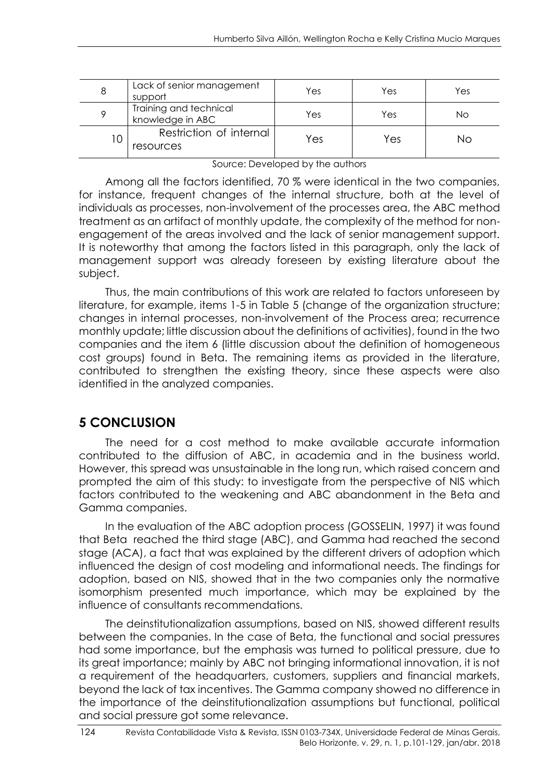| 8 | Lack of senior management<br>support       | Yes | Yes | Yes |
|---|--------------------------------------------|-----|-----|-----|
|   | Training and technical<br>knowledge in ABC | Yes | Yes | Νo  |
| 0 | Restriction of internal<br>resources       | Yes | Yes | Nο  |

Source: Developed by the authors

Among all the factors identified, 70 % were identical in the two companies, for instance, frequent changes of the internal structure, both at the level of individuals as processes, non-involvement of the processes area, the ABC method treatment as an artifact of monthly update, the complexity of the method for nonengagement of the areas involved and the lack of senior management support. It is noteworthy that among the factors listed in this paragraph, only the lack of management support was already foreseen by existing literature about the subject.

Thus, the main contributions of this work are related to factors unforeseen by literature, for example, items 1-5 in Table 5 (change of the organization structure; changes in internal processes, non-involvement of the Process area; recurrence monthly update; little discussion about the definitions of activities), found in the two companies and the item 6 (little discussion about the definition of homogeneous cost groups) found in Beta. The remaining items as provided in the literature, contributed to strengthen the existing theory, since these aspects were also identified in the analyzed companies.

# **5 CONCLUSION**

The need for a cost method to make available accurate information contributed to the diffusion of ABC, in academia and in the business world. However, this spread was unsustainable in the long run, which raised concern and prompted the aim of this study: to investigate from the perspective of NIS which factors contributed to the weakening and ABC abandonment in the Beta and Gamma companies.

In the evaluation of the ABC adoption process (GOSSELIN, 1997) it was found that Beta reached the third stage (ABC), and Gamma had reached the second stage (ACA), a fact that was explained by the different drivers of adoption which influenced the design of cost modeling and informational needs. The findings for adoption, based on NIS, showed that in the two companies only the normative isomorphism presented much importance, which may be explained by the influence of consultants recommendations.

The deinstitutionalization assumptions, based on NIS, showed different results between the companies. In the case of Beta, the functional and social pressures had some importance, but the emphasis was turned to political pressure, due to its great importance; mainly by ABC not bringing informational innovation, it is not a requirement of the headquarters, customers, suppliers and financial markets, beyond the lack of tax incentives. The Gamma company showed no difference in the importance of the deinstitutionalization assumptions but functional, political and social pressure got some relevance.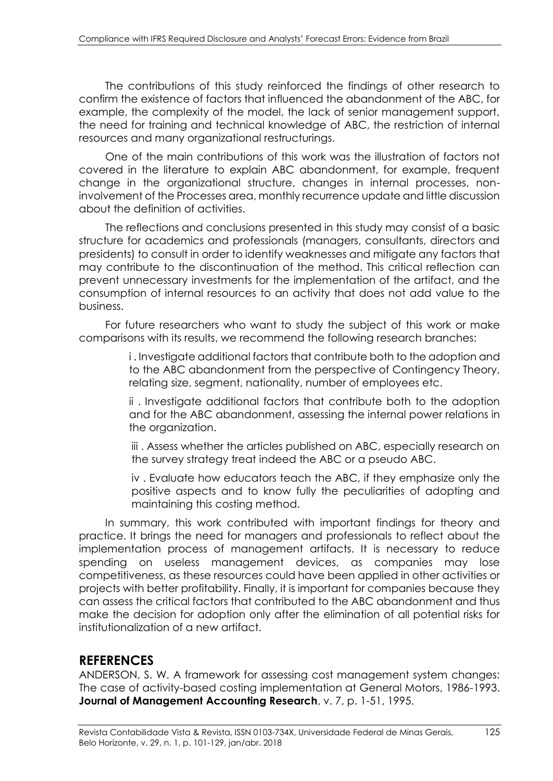The contributions of this study reinforced the findings of other research to confirm the existence of factors that influenced the abandonment of the ABC, for example, the complexity of the model, the lack of senior management support, the need for training and technical knowledge of ABC, the restriction of internal resources and many organizational restructurings.

One of the main contributions of this work was the illustration of factors not covered in the literature to explain ABC abandonment, for example, frequent change in the organizational structure, changes in internal processes, noninvolvement of the Processes area, monthly recurrence update and little discussion about the definition of activities.

The reflections and conclusions presented in this study may consist of a basic structure for academics and professionals (managers, consultants, directors and presidents) to consult in order to identify weaknesses and mitigate any factors that may contribute to the discontinuation of the method. This critical reflection can prevent unnecessary investments for the implementation of the artifact, and the consumption of internal resources to an activity that does not add value to the business.

For future researchers who want to study the subject of this work or make comparisons with its results, we recommend the following research branches:

> i . Investigate additional factors that contribute both to the adoption and to the ABC abandonment from the perspective of Contingency Theory, relating size, segment, nationality, number of employees etc.

> ii . Investigate additional factors that contribute both to the adoption and for the ABC abandonment, assessing the internal power relations in the organization.

> iii . Assess whether the articles published on ABC, especially research on the survey strategy treat indeed the ABC or a pseudo ABC.

> iv . Evaluate how educators teach the ABC, if they emphasize only the positive aspects and to know fully the peculiarities of adopting and maintaining this costing method.

In summary, this work contributed with important findings for theory and practice. It brings the need for managers and professionals to reflect about the implementation process of management artifacts. It is necessary to reduce spending on useless management devices, as companies may lose competitiveness, as these resources could have been applied in other activities or projects with better profitability. Finally, it is important for companies because they can assess the critical factors that contributed to the ABC abandonment and thus make the decision for adoption only after the elimination of all potential risks for institutionalization of a new artifact.

## **REFERENCES**

ANDERSON, S. W. A framework for assessing cost management system changes: The case of activity-based costing implementation at General Motors, 1986-1993. **Journal of Management Accounting Research**, v. 7, p. 1-51, 1995.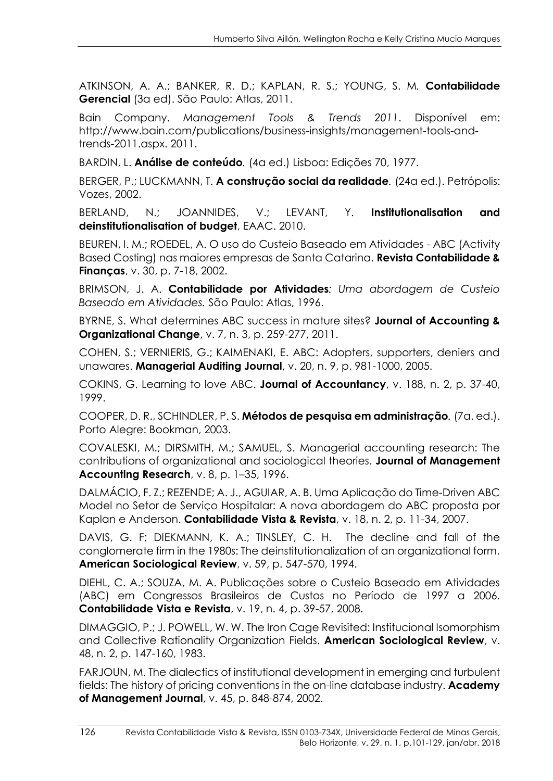ATKINSON, A. A.; BANKER, R. D.; KAPLAN, R. S.; YOUNG, S. M*.* **Contabilidade Gerencial** (3a ed). São Paulo: Atlas, 2011.

Bain Company. *Management Tools & Trends 2011*. Disponível em: http://www.bain.com/publications/business-insights/management-tools-andtrends-2011.aspx. 2011.

BARDIN, L. **Análise de conteúdo***.* (4a ed.) Lisboa: Edições 70, 1977.

BERGER, P.; LUCKMANN, T. **A construção social da realidade***.* (24a ed.). Petrópolis: Vozes, 2002.

BERLAND, N.; JOANNIDES, V.; LEVANT, Y. **Institutionalisation and deinstitutionalisation of budget**, EAAC. 2010.

BEUREN, I. M.; ROEDEL, A. O uso do Custeio Baseado em Atividades - ABC (Activity Based Costing) nas maiores empresas de Santa Catarina. **Revista Contabilidade & Finanças**, v. 30, p. 7-18, 2002.

BRIMSON, J. A. **Contabilidade por Atividades***: Uma abordagem de Custeio Baseado em Atividades.* São Paulo: Atlas, 1996.

BYRNE, S. What determines ABC success in mature sites? **Journal of Accounting & Organizational Change**, v. 7, n. 3, p. 259-277, 2011.

COHEN, S.; VERNIERIS, G.; KAIMENAKI, E. ABC: Adopters, supporters, deniers and unawares. **Managerial Auditing Journal**, v. 20, n. 9, p. 981-1000, 2005.

COKINS, G. Learning to love ABC. **Journal of Accountancy**, v. 188, n. 2, p. 37-40, 1999.

COOPER, D. R., SCHINDLER, P. S. **Métodos de pesquisa em administração***.* (7a. ed.). Porto Alegre: Bookman, 2003.

COVALESKI, M.; DIRSMITH, M.; SAMUEL, S. Managerial accounting research: The contributions of organizational and sociological theories. **Journal of Management Accounting Research**, v. 8, p. 1–35, 1996.

DALMÁCIO, F. Z.; REZENDE; A. J., AGUIAR, A. B. Uma Aplicação do Time-Driven ABC Model no Setor de Serviço Hospitalar: A nova abordagem do ABC proposta por Kaplan e Anderson. **Contabilidade Vista & Revista**, v. 18, n. 2, p. 11-34, 2007.

DAVIS, G. F; DIEKMANN, K. A.; TINSLEY, C. H. The decline and fall of the conglomerate firm in the 1980s: The deinstitutionalization of an organizational form. **American Sociological Review**, v. 59, p. 547-570, 1994.

DIEHL, C. A.; SOUZA, M. A. Publicações sobre o Custeio Baseado em Atividades (ABC) em Congressos Brasileiros de Custos no Período de 1997 a 2006. **Contabilidade Vista e Revista**, v. 19, n. 4, p. 39-57, 2008.

DIMAGGIO, P.; J. POWELL, W. W. The Iron Cage Revisited: Institucional Isomorphism and Collective Rationality Organization Fields. **American Sociological Review**, v. 48, n. 2, p. 147-160, 1983.

FARJOUN, M. The dialectics of institutional development in emerging and turbulent fields: The history of pricing conventions in the on-line database industry. **Academy of Management Journal**, v. 45, p. 848-874, 2002.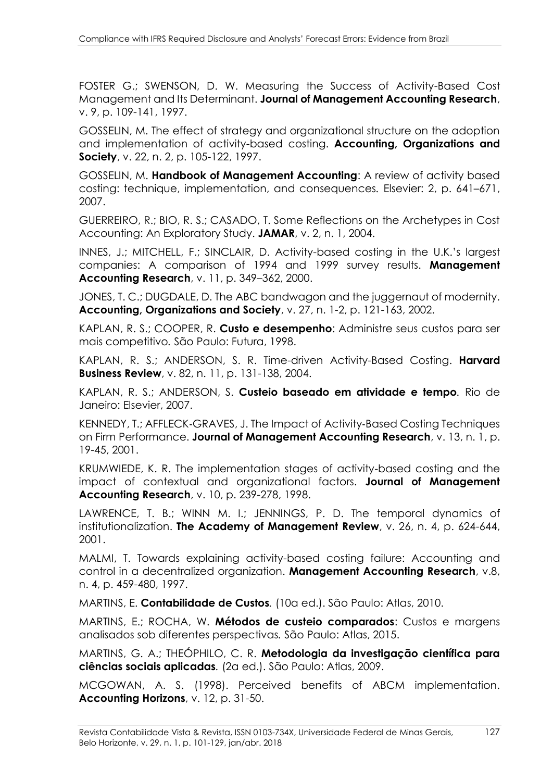FOSTER G.; SWENSON, D. W. Measuring the Success of Activity-Based Cost Management and Its Determinant. **Journal of Management Accounting Research**, v. 9, p. 109-141, 1997.

GOSSELIN, M. The effect of strategy and organizational structure on the adoption and implementation of activity-based costing. **Accounting, Organizations and Society**, v. 22, n. 2, p. 105-122, 1997.

GOSSELIN, M. **Handbook of Management Accounting**: A review of activity based costing: technique, implementation, and consequences*.* Elsevier: 2, p. 641–671, 2007.

GUERREIRO, R.; BIO, R. S.; CASADO, T. Some Reflections on the Archetypes in Cost Accounting: An Exploratory Study. **JAMAR**, v. 2, n. 1, 2004.

INNES, J.; MITCHELL, F.; SINCLAIR, D. Activity-based costing in the U.K.'s largest companies: A comparison of 1994 and 1999 survey results. **Management Accounting Research**, v. 11, p. 349–362, 2000.

JONES, T. C.; DUGDALE, D. The ABC bandwagon and the juggernaut of modernity. **Accounting, Organizations and Society**, v. 27, n. 1-2, p. 121-163, 2002.

KAPLAN, R. S.; COOPER, R. **Custo e desempenho**: Administre seus custos para ser mais competitivo*.* São Paulo: Futura, 1998.

KAPLAN, R. S.; ANDERSON, S. R. Time-driven Activity-Based Costing. **Harvard Business Review**, v. 82, n. 11, p. 131-138, 2004.

KAPLAN, R. S.; ANDERSON, S. **Custeio baseado em atividade e tempo***.* Rio de Janeiro: Elsevier, 2007.

KENNEDY, T.; AFFLECK‐GRAVES, J. The Impact of Activity‐Based Costing Techniques on Firm Performance. **Journal of Management Accounting Research**, v. 13, n. 1, p. 19-45, 2001.

KRUMWIEDE, K. R. The implementation stages of activity-based costing and the impact of contextual and organizational factors. **Journal of Management Accounting Research**, v. 10, p. 239-278, 1998.

LAWRENCE, T. B.; WINN M. I.; JENNINGS, P. D. The temporal dynamics of institutionalization. **The Academy of Management Review**, v. 26, n. 4, p. 624-644, 2001.

MALMI, T. Towards explaining activity-based costing failure: Accounting and control in a decentralized organization. **Management Accounting Research**, v.8, n. 4, p. 459-480, 1997.

MARTINS, E. **Contabilidade de Custos***.* (10a ed.). São Paulo: Atlas, 2010.

MARTINS, E.; ROCHA, W. **Métodos de custeio comparados**: Custos e margens analisados sob diferentes perspectivas*.* São Paulo: Atlas, 2015.

MARTINS, G. A.; THEÓPHILO, C. R. **Metodologia da investigação científica para ciências sociais aplicadas***.* (2a ed.). São Paulo: Atlas, 2009.

MCGOWAN, A. S. (1998). Perceived benefits of ABCM implementation. **Accounting Horizons**, v. 12, p. 31-50.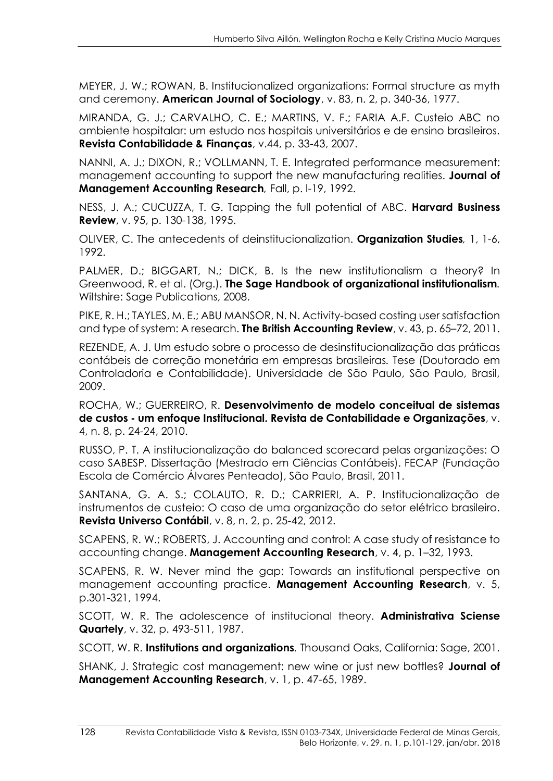MEYER, J. W.; ROWAN, B. Institucionalized organizations: Formal structure as myth and ceremony. **American Journal of Sociology**, v. 83, n. 2, p. 340-36, 1977.

MIRANDA, G. J.; CARVALHO, C. E.; MARTINS, V. F.; FARIA A.F. Custeio ABC no ambiente hospitalar: um estudo nos hospitais universitários e de ensino brasileiros. **Revista Contabilidade & Finanças**, v.44, p. 33-43, 2007.

NANNI, A. J.; DIXON, R.; VOLLMANN, T. E. Integrated performance measurement: management accounting to support the new manufacturing realities. **Journal of Management Accounting Research***,* Fall, p. l-19, 1992.

NESS, J. A.; CUCUZZA, T. G. Tapping the full potential of ABC. **Harvard Business Review**, v. 95, p. 130-138, 1995.

OLIVER, C. The antecedents of deinstitucionalization. **Organization Studies***,* 1, 1-6, 1992.

PALMER, D.; BIGGART, N.; DICK, B. Is the new institutionalism a theory? In Greenwood, R. et al. (Org.). **The Sage Handbook of organizational institutionalism***.* Wiltshire: Sage Publications, 2008.

PIKE, R. H.; TAYLES, M. E.; ABU MANSOR, N. N. Activity-based costing user satisfaction and type of system: A research. **The British Accounting Review**, v. 43, p. 65–72, 2011.

REZENDE, A. J. Um estudo sobre o processo de desinstitucionalização das práticas contábeis de correção monetária em empresas brasileiras*.* Tese (Doutorado em Controladoria e Contabilidade). Universidade de São Paulo, São Paulo, Brasil, 2009.

ROCHA, W.; GUERREIRO, R. **Desenvolvimento de modelo conceitual de sistemas de custos - um enfoque Institucional. Revista de Contabilidade e Organizações**, v. 4, n. 8, p. 24-24, 2010.

RUSSO, P. T. A institucionalização do balanced scorecard pelas organizações: O caso SABESP*.* Dissertação (Mestrado em Ciências Contábeis). FECAP (Fundação Escola de Comércio Álvares Penteado), São Paulo, Brasil, 2011.

SANTANA, G. A. S.; COLAUTO, R. D.; CARRIERI, A. P. Institucionalização de instrumentos de custeio: O caso de uma organização do setor elétrico brasileiro. **Revista Universo Contábil**, v. 8, n. 2, p. 25-42, 2012.

SCAPENS, R. W.; ROBERTS, J. Accounting and control: A case study of resistance to accounting change. **Management Accounting Research**, v. 4, p. 1–32, 1993.

SCAPENS, R. W. Never mind the gap: Towards an institutional perspective on management accounting practice. **Management Accounting Research**, v. 5, p.301-321, 1994.

SCOTT, W. R. The adolescence of institucional theory. **Administrativa Sciense Quartely**, v. 32, p. 493-511, 1987.

SCOTT, W. R. **Institutions and organizations***.* Thousand Oaks, California: Sage, 2001.

SHANK, J. Strategic cost management: new wine or just new bottles? **Journal of Management Accounting Research**, v. 1, p. 47-65, 1989.